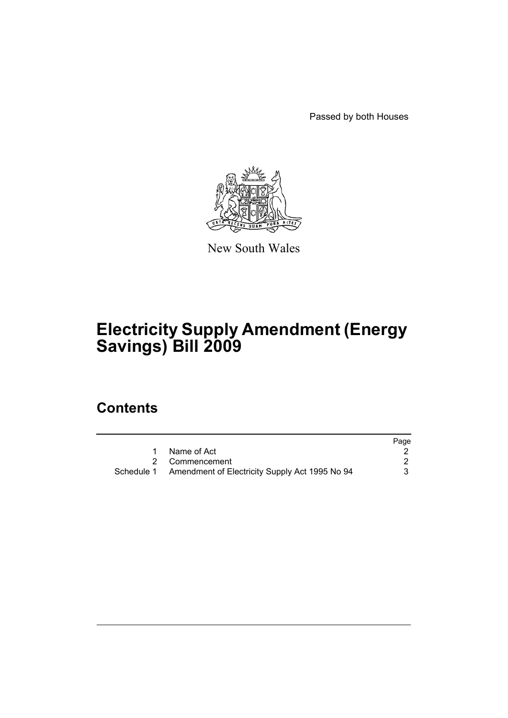Passed by both Houses



New South Wales

# **Electricity Supply Amendment (Energy Savings) Bill 2009**

# **Contents**

|                                                           | Page |
|-----------------------------------------------------------|------|
| Name of Act                                               |      |
| 2 Commencement                                            |      |
| Schedule 1 Amendment of Electricity Supply Act 1995 No 94 |      |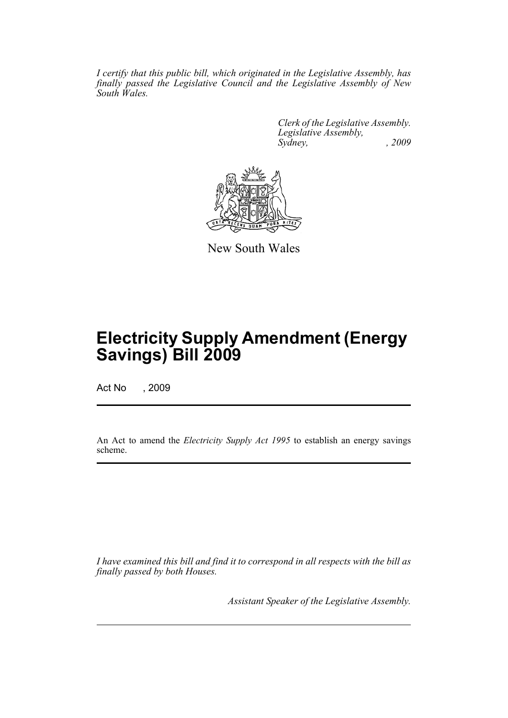*I certify that this public bill, which originated in the Legislative Assembly, has finally passed the Legislative Council and the Legislative Assembly of New South Wales.*

> *Clerk of the Legislative Assembly. Legislative Assembly, Sydney, , 2009*



New South Wales

# **Electricity Supply Amendment (Energy Savings) Bill 2009**

Act No , 2009

An Act to amend the *Electricity Supply Act 1995* to establish an energy savings scheme.

*I have examined this bill and find it to correspond in all respects with the bill as finally passed by both Houses.*

*Assistant Speaker of the Legislative Assembly.*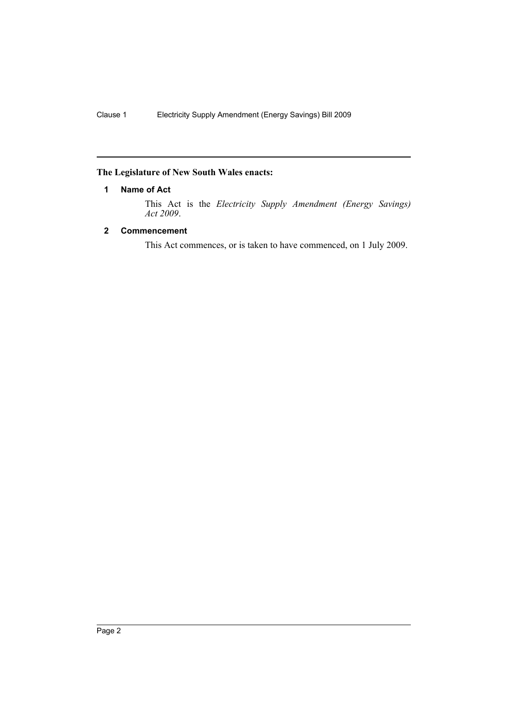# <span id="page-3-0"></span>**The Legislature of New South Wales enacts:**

# **1 Name of Act**

This Act is the *Electricity Supply Amendment (Energy Savings) Act 2009*.

# <span id="page-3-1"></span>**2 Commencement**

This Act commences, or is taken to have commenced, on 1 July 2009.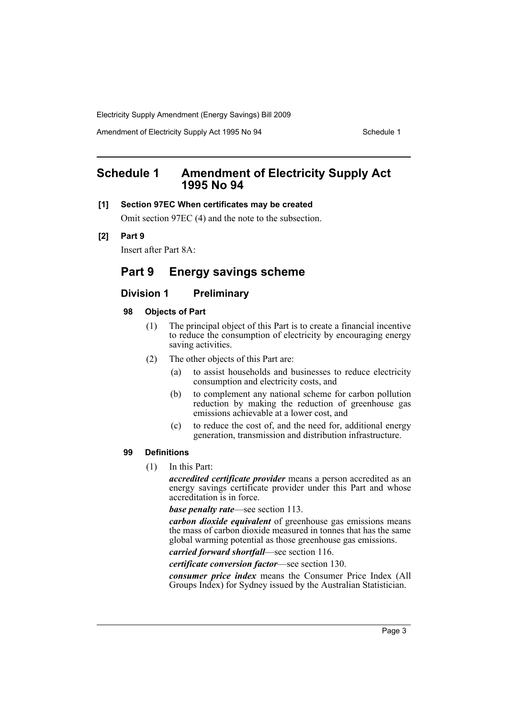Amendment of Electricity Supply Act 1995 No 94 Schedule 1

# <span id="page-4-0"></span>**Schedule 1 Amendment of Electricity Supply Act 1995 No 94**

# **[1] Section 97EC When certificates may be created**

Omit section 97EC (4) and the note to the subsection.

# **[2] Part 9**

Insert after Part 8A:

# **Part 9 Energy savings scheme**

# **Division 1 Preliminary**

# **98 Objects of Part**

- (1) The principal object of this Part is to create a financial incentive to reduce the consumption of electricity by encouraging energy saving activities.
- (2) The other objects of this Part are:
	- (a) to assist households and businesses to reduce electricity consumption and electricity costs, and
	- (b) to complement any national scheme for carbon pollution reduction by making the reduction of greenhouse gas emissions achievable at a lower cost, and
	- (c) to reduce the cost of, and the need for, additional energy generation, transmission and distribution infrastructure.

# **99 Definitions**

(1) In this Part:

*accredited certificate provider* means a person accredited as an energy savings certificate provider under this Part and whose accreditation is in force.

*base penalty rate*—see section 113.

*carbon dioxide equivalent* of greenhouse gas emissions means the mass of carbon dioxide measured in tonnes that has the same global warming potential as those greenhouse gas emissions.

*carried forward shortfall*—see section 116.

*certificate conversion factor*—see section 130.

*consumer price index* means the Consumer Price Index (All Groups Index) for Sydney issued by the Australian Statistician.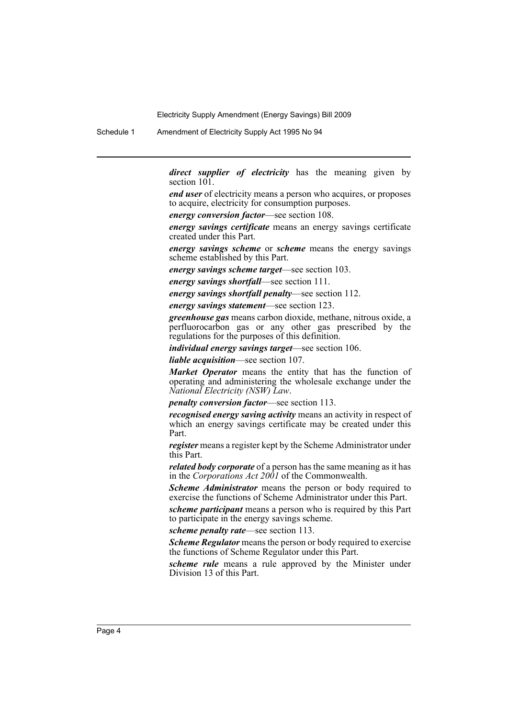Schedule 1 Amendment of Electricity Supply Act 1995 No 94

*direct supplier of electricity* has the meaning given by section 101.

*end user* of electricity means a person who acquires, or proposes to acquire, electricity for consumption purposes.

*energy conversion factor*—see section 108.

*energy savings certificate* means an energy savings certificate created under this Part.

*energy savings scheme* or *scheme* means the energy savings scheme established by this Part.

*energy savings scheme target*—see section 103.

*energy savings shortfall*—see section 111.

*energy savings shortfall penalty*—see section 112.

*energy savings statement*—see section 123.

*greenhouse gas* means carbon dioxide, methane, nitrous oxide, a perfluorocarbon gas or any other gas prescribed by the regulations for the purposes of this definition.

*individual energy savings target*—see section 106.

*liable acquisition*—see section 107.

*Market Operator* means the entity that has the function of operating and administering the wholesale exchange under the *National Electricity (NSW) Law*.

*penalty conversion factor*—see section 113.

*recognised energy saving activity* means an activity in respect of which an energy savings certificate may be created under this Part.

*register* means a register kept by the Scheme Administrator under this Part.

*related body corporate* of a person has the same meaning as it has in the *Corporations Act 2001* of the Commonwealth.

*Scheme Administrator* means the person or body required to exercise the functions of Scheme Administrator under this Part.

*scheme participant* means a person who is required by this Part to participate in the energy savings scheme.

*scheme penalty rate*—see section 113.

*Scheme Regulator* means the person or body required to exercise the functions of Scheme Regulator under this Part.

*scheme rule* means a rule approved by the Minister under Division 13 of this Part.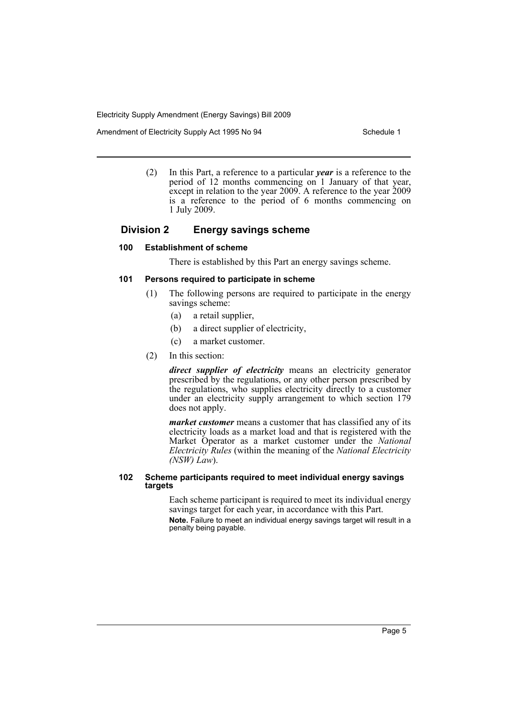Amendment of Electricity Supply Act 1995 No 94 Schedule 1

(2) In this Part, a reference to a particular *year* is a reference to the period of 12 months commencing on 1 January of that year, except in relation to the year 2009. A reference to the year 2009 is a reference to the period of 6 months commencing on 1 July 2009.

# **Division 2 Energy savings scheme**

## **100 Establishment of scheme**

There is established by this Part an energy savings scheme.

### **101 Persons required to participate in scheme**

- (1) The following persons are required to participate in the energy savings scheme:
	- (a) a retail supplier,
	- (b) a direct supplier of electricity,
	- (c) a market customer.
- (2) In this section:

*direct supplier of electricity* means an electricity generator prescribed by the regulations, or any other person prescribed by the regulations, who supplies electricity directly to a customer under an electricity supply arrangement to which section 179 does not apply.

*market customer* means a customer that has classified any of its electricity loads as a market load and that is registered with the Market Operator as a market customer under the *National Electricity Rules* (within the meaning of the *National Electricity (NSW) Law*).

### **102 Scheme participants required to meet individual energy savings targets**

Each scheme participant is required to meet its individual energy savings target for each year, in accordance with this Part.

**Note.** Failure to meet an individual energy savings target will result in a penalty being payable.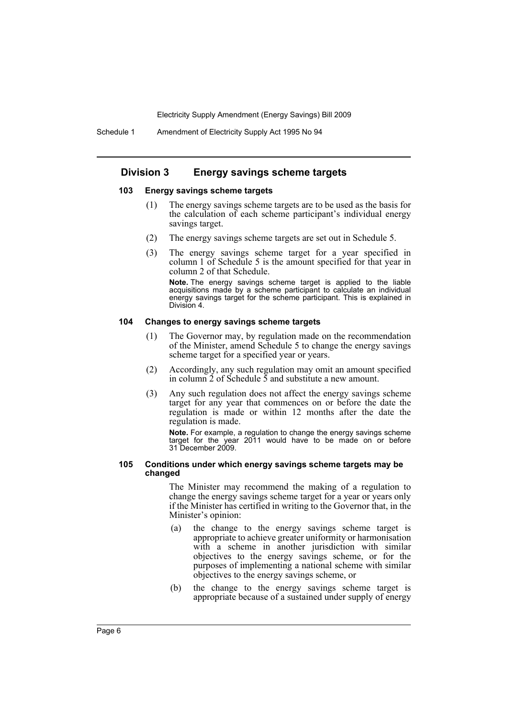# **Division 3 Energy savings scheme targets**

#### **103 Energy savings scheme targets**

- (1) The energy savings scheme targets are to be used as the basis for the calculation of each scheme participant's individual energy savings target.
- (2) The energy savings scheme targets are set out in Schedule 5.
- (3) The energy savings scheme target for a year specified in column 1 of Schedule 5 is the amount specified for that year in column 2 of that Schedule.

**Note.** The energy savings scheme target is applied to the liable acquisitions made by a scheme participant to calculate an individual energy savings target for the scheme participant. This is explained in Division 4.

# **104 Changes to energy savings scheme targets**

- (1) The Governor may, by regulation made on the recommendation of the Minister, amend Schedule 5 to change the energy savings scheme target for a specified year or years.
- (2) Accordingly, any such regulation may omit an amount specified in column  $\tilde{2}$  of Schedule  $\tilde{5}$  and substitute a new amount.
- (3) Any such regulation does not affect the energy savings scheme target for any year that commences on or before the date the regulation is made or within 12 months after the date the regulation is made.

**Note.** For example, a regulation to change the energy savings scheme target for the year 2011 would have to be made on or before 31 December 2009.

#### **105 Conditions under which energy savings scheme targets may be changed**

The Minister may recommend the making of a regulation to change the energy savings scheme target for a year or years only if the Minister has certified in writing to the Governor that, in the Minister's opinion:

- (a) the change to the energy savings scheme target is appropriate to achieve greater uniformity or harmonisation with a scheme in another jurisdiction with similar objectives to the energy savings scheme, or for the purposes of implementing a national scheme with similar objectives to the energy savings scheme, or
- (b) the change to the energy savings scheme target is appropriate because of a sustained under supply of energy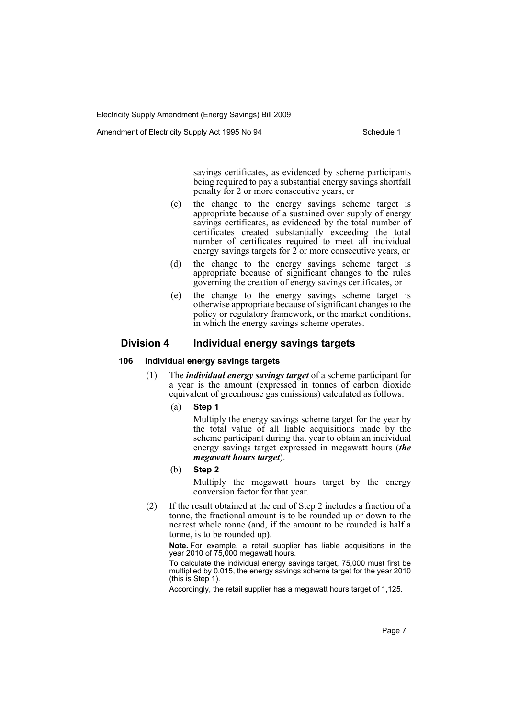Amendment of Electricity Supply Act 1995 No 94 Schedule 1

savings certificates, as evidenced by scheme participants being required to pay a substantial energy savings shortfall penalty for 2 or more consecutive years, or

- (c) the change to the energy savings scheme target is appropriate because of a sustained over supply of energy savings certificates, as evidenced by the total number of certificates created substantially exceeding the total number of certificates required to meet all individual energy savings targets for 2 or more consecutive years, or
- (d) the change to the energy savings scheme target is appropriate because of significant changes to the rules governing the creation of energy savings certificates, or
- (e) the change to the energy savings scheme target is otherwise appropriate because of significant changes to the policy or regulatory framework, or the market conditions, in which the energy savings scheme operates.

# **Division 4 Individual energy savings targets**

### **106 Individual energy savings targets**

- (1) The *individual energy savings target* of a scheme participant for a year is the amount (expressed in tonnes of carbon dioxide equivalent of greenhouse gas emissions) calculated as follows:
	- (a) **Step 1**

Multiply the energy savings scheme target for the year by the total value of all liable acquisitions made by the scheme participant during that year to obtain an individual energy savings target expressed in megawatt hours (*the megawatt hours target*).

(b) **Step 2**

Multiply the megawatt hours target by the energy conversion factor for that year.

(2) If the result obtained at the end of Step 2 includes a fraction of a tonne, the fractional amount is to be rounded up or down to the nearest whole tonne (and, if the amount to be rounded is half a tonne, is to be rounded up).

**Note.** For example, a retail supplier has liable acquisitions in the year 2010 of 75,000 megawatt hours.

To calculate the individual energy savings target, 75,000 must first be multiplied by 0.015, the energy savings scheme target for the year 2010 (this is Step 1).

Accordingly, the retail supplier has a megawatt hours target of 1,125.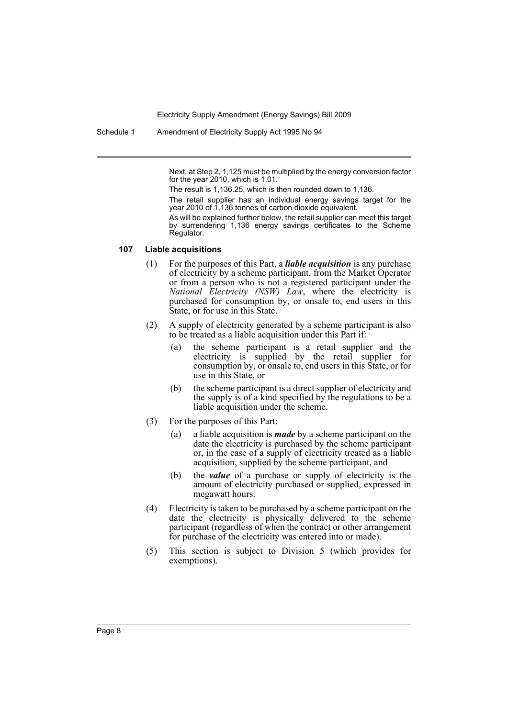Schedule 1 Amendment of Electricity Supply Act 1995 No 94

Next, at Step 2, 1,125 must be multiplied by the energy conversion factor for the year 2010, which is 1.01.

The result is 1,136.25, which is then rounded down to 1,136.

The retail supplier has an individual energy savings target for the year 2010 of 1,136 tonnes of carbon dioxide equivalent.

As will be explained further below, the retail supplier can meet this target by surrendering 1,136 energy savings certificates to the Scheme Regulator.

# **107 Liable acquisitions**

- (1) For the purposes of this Part, a *liable acquisition* is any purchase of electricity by a scheme participant, from the Market Operator or from a person who is not a registered participant under the *National Electricity (NSW) Law*, where the electricity is purchased for consumption by, or onsale to, end users in this State, or for use in this State.
- (2) A supply of electricity generated by a scheme participant is also to be treated as a liable acquisition under this Part if:
	- (a) the scheme participant is a retail supplier and the electricity is supplied by the retail supplier for consumption by, or onsale to, end users in this State, or for use in this State, or
	- (b) the scheme participant is a direct supplier of electricity and the supply is of a kind specified by the regulations to be a liable acquisition under the scheme.
- (3) For the purposes of this Part:
	- (a) a liable acquisition is *made* by a scheme participant on the date the electricity is purchased by the scheme participant or, in the case of a supply of electricity treated as a liable acquisition, supplied by the scheme participant, and
	- (b) the *value* of a purchase or supply of electricity is the amount of electricity purchased or supplied, expressed in megawatt hours.
- (4) Electricity is taken to be purchased by a scheme participant on the date the electricity is physically delivered to the scheme participant (regardless of when the contract or other arrangement for purchase of the electricity was entered into or made).
- (5) This section is subject to Division 5 (which provides for exemptions).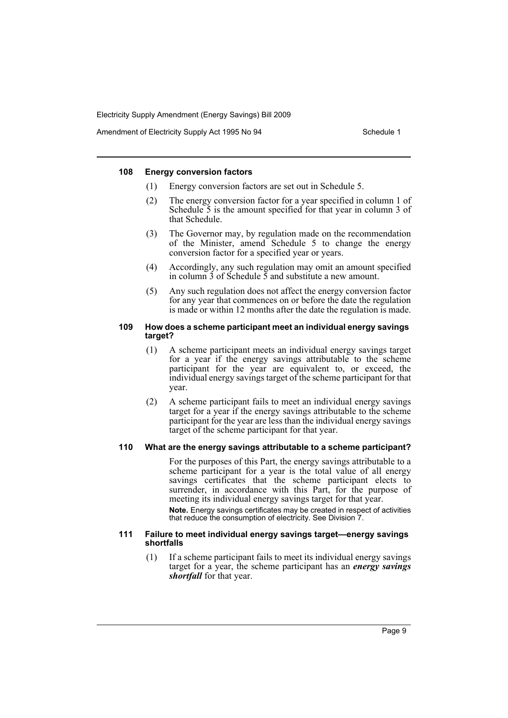Amendment of Electricity Supply Act 1995 No 94 Schedule 1

### **108 Energy conversion factors**

- (1) Energy conversion factors are set out in Schedule 5.
- (2) The energy conversion factor for a year specified in column 1 of Schedule 5 is the amount specified for that year in column 3 of that Schedule.
- (3) The Governor may, by regulation made on the recommendation of the Minister, amend Schedule 5 to change the energy conversion factor for a specified year or years.
- (4) Accordingly, any such regulation may omit an amount specified in column  $\overline{3}$  of Schedule  $\overline{5}$  and substitute a new amount.
- (5) Any such regulation does not affect the energy conversion factor for any year that commences on or before the date the regulation is made or within 12 months after the date the regulation is made.

# **109 How does a scheme participant meet an individual energy savings target?**

- (1) A scheme participant meets an individual energy savings target for a year if the energy savings attributable to the scheme participant for the year are equivalent to, or exceed, the individual energy savings target of the scheme participant for that year.
- (2) A scheme participant fails to meet an individual energy savings target for a year if the energy savings attributable to the scheme participant for the year are less than the individual energy savings target of the scheme participant for that year.

# **110 What are the energy savings attributable to a scheme participant?**

For the purposes of this Part, the energy savings attributable to a scheme participant for a year is the total value of all energy savings certificates that the scheme participant elects to surrender, in accordance with this Part, for the purpose of meeting its individual energy savings target for that year. **Note.** Energy savings certificates may be created in respect of activities

that reduce the consumption of electricity. See Division 7.

### **111 Failure to meet individual energy savings target—energy savings shortfalls**

(1) If a scheme participant fails to meet its individual energy savings target for a year, the scheme participant has an *energy savings shortfall* for that year.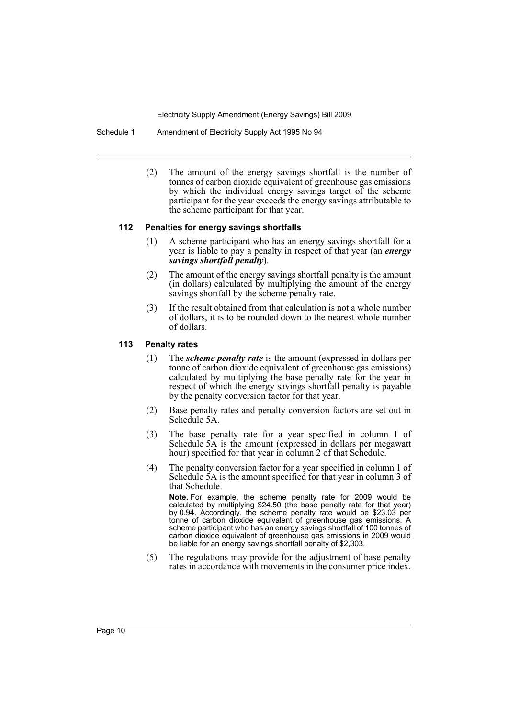Schedule 1 Amendment of Electricity Supply Act 1995 No 94

(2) The amount of the energy savings shortfall is the number of tonnes of carbon dioxide equivalent of greenhouse gas emissions by which the individual energy savings target of the scheme participant for the year exceeds the energy savings attributable to the scheme participant for that year.

### **112 Penalties for energy savings shortfalls**

- (1) A scheme participant who has an energy savings shortfall for a year is liable to pay a penalty in respect of that year (an *energy savings shortfall penalty*).
- (2) The amount of the energy savings shortfall penalty is the amount (in dollars) calculated by multiplying the amount of the energy savings shortfall by the scheme penalty rate.
- (3) If the result obtained from that calculation is not a whole number of dollars, it is to be rounded down to the nearest whole number of dollars.

# **113 Penalty rates**

- (1) The *scheme penalty rate* is the amount (expressed in dollars per tonne of carbon dioxide equivalent of greenhouse gas emissions) calculated by multiplying the base penalty rate for the year in respect of which the energy savings shortfall penalty is payable by the penalty conversion factor for that year.
- (2) Base penalty rates and penalty conversion factors are set out in Schedule 5A.
- (3) The base penalty rate for a year specified in column 1 of Schedule 5A is the amount (expressed in dollars per megawatt hour) specified for that year in column 2 of that Schedule.
- (4) The penalty conversion factor for a year specified in column 1 of Schedule 5A is the amount specified for that year in column 3 of that Schedule.

**Note.** For example, the scheme penalty rate for 2009 would be calculated by multiplying \$24.50 (the base penalty rate for that year) by 0.94. Accordingly, the scheme penalty rate would be \$23.03 per tonne of carbon dioxide equivalent of greenhouse gas emissions. A scheme participant who has an energy savings shortfall of 100 tonnes of carbon dioxide equivalent of greenhouse gas emissions in 2009 would be liable for an energy savings shortfall penalty of \$2,303.

(5) The regulations may provide for the adjustment of base penalty rates in accordance with movements in the consumer price index.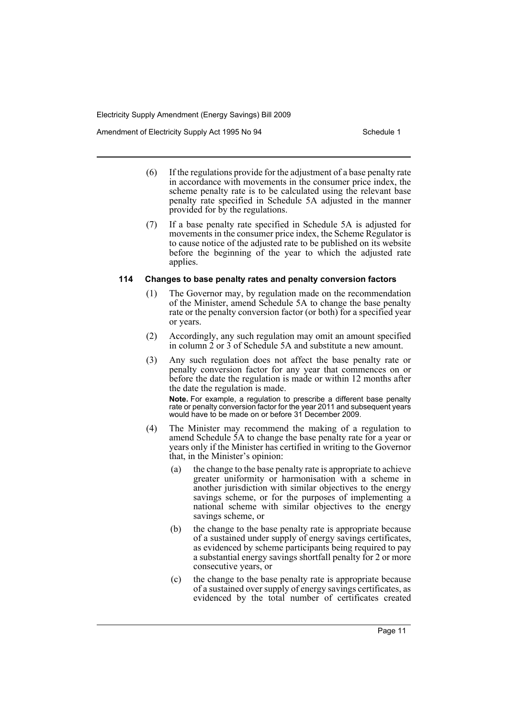Amendment of Electricity Supply Act 1995 No 94 Schedule 1

- (6) If the regulations provide for the adjustment of a base penalty rate in accordance with movements in the consumer price index, the scheme penalty rate is to be calculated using the relevant base penalty rate specified in Schedule 5A adjusted in the manner provided for by the regulations.
- (7) If a base penalty rate specified in Schedule 5A is adjusted for movements in the consumer price index, the Scheme Regulator is to cause notice of the adjusted rate to be published on its website before the beginning of the year to which the adjusted rate applies.

### **114 Changes to base penalty rates and penalty conversion factors**

- (1) The Governor may, by regulation made on the recommendation of the Minister, amend Schedule 5A to change the base penalty rate or the penalty conversion factor (or both) for a specified year or years.
- (2) Accordingly, any such regulation may omit an amount specified in column  $\tilde{2}$  or  $\tilde{3}$  of Schedule 5A and substitute a new amount.
- (3) Any such regulation does not affect the base penalty rate or penalty conversion factor for any year that commences on or before the date the regulation is made or within 12 months after the date the regulation is made.

**Note.** For example, a regulation to prescribe a different base penalty rate or penalty conversion factor for the year 2011 and subsequent years would have to be made on or before 31 December 2009.

- (4) The Minister may recommend the making of a regulation to amend Schedule 5A to change the base penalty rate for a year or years only if the Minister has certified in writing to the Governor that, in the Minister's opinion:
	- (a) the change to the base penalty rate is appropriate to achieve greater uniformity or harmonisation with a scheme in another jurisdiction with similar objectives to the energy savings scheme, or for the purposes of implementing a national scheme with similar objectives to the energy savings scheme, or
	- (b) the change to the base penalty rate is appropriate because of a sustained under supply of energy savings certificates, as evidenced by scheme participants being required to pay a substantial energy savings shortfall penalty for 2 or more consecutive years, or
	- (c) the change to the base penalty rate is appropriate because of a sustained over supply of energy savings certificates, as evidenced by the total number of certificates created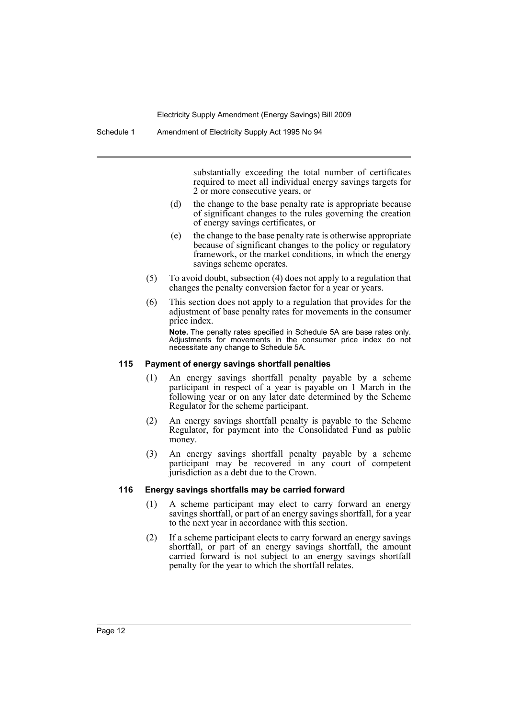substantially exceeding the total number of certificates required to meet all individual energy savings targets for 2 or more consecutive years, or

- (d) the change to the base penalty rate is appropriate because of significant changes to the rules governing the creation of energy savings certificates, or
- (e) the change to the base penalty rate is otherwise appropriate because of significant changes to the policy or regulatory framework, or the market conditions, in which the energy savings scheme operates.
- (5) To avoid doubt, subsection (4) does not apply to a regulation that changes the penalty conversion factor for a year or years.
- (6) This section does not apply to a regulation that provides for the adjustment of base penalty rates for movements in the consumer price index.

**Note.** The penalty rates specified in Schedule 5A are base rates only. Adjustments for movements in the consumer price index do not necessitate any change to Schedule 5A.

### **115 Payment of energy savings shortfall penalties**

- (1) An energy savings shortfall penalty payable by a scheme participant in respect of a year is payable on 1 March in the following year or on any later date determined by the Scheme Regulator for the scheme participant.
- (2) An energy savings shortfall penalty is payable to the Scheme Regulator, for payment into the Consolidated Fund as public money.
- (3) An energy savings shortfall penalty payable by a scheme participant may be recovered in any court of competent jurisdiction as a debt due to the Crown.

### **116 Energy savings shortfalls may be carried forward**

- (1) A scheme participant may elect to carry forward an energy savings shortfall, or part of an energy savings shortfall, for a year to the next year in accordance with this section.
- (2) If a scheme participant elects to carry forward an energy savings shortfall, or part of an energy savings shortfall, the amount carried forward is not subject to an energy savings shortfall penalty for the year to which the shortfall relates.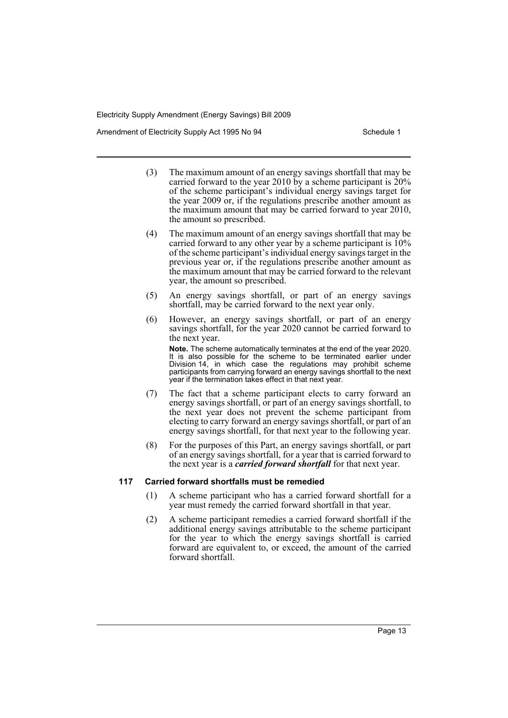Amendment of Electricity Supply Act 1995 No 94 Schedule 1

- (3) The maximum amount of an energy savings shortfall that may be carried forward to the year 2010 by a scheme participant is  $20\%$ of the scheme participant's individual energy savings target for the year 2009 or, if the regulations prescribe another amount as the maximum amount that may be carried forward to year 2010, the amount so prescribed.
- (4) The maximum amount of an energy savings shortfall that may be carried forward to any other year by a scheme participant is  $10\%$ of the scheme participant's individual energy savings target in the previous year or, if the regulations prescribe another amount as the maximum amount that may be carried forward to the relevant year, the amount so prescribed.
- (5) An energy savings shortfall, or part of an energy savings shortfall, may be carried forward to the next year only.
- (6) However, an energy savings shortfall, or part of an energy savings shortfall, for the year 2020 cannot be carried forward to the next year.

**Note.** The scheme automatically terminates at the end of the year 2020. It is also possible for the scheme to be terminated earlier under Division 14, in which case the regulations may prohibit scheme participants from carrying forward an energy savings shortfall to the next year if the termination takes effect in that next year.

- (7) The fact that a scheme participant elects to carry forward an energy savings shortfall, or part of an energy savings shortfall, to the next year does not prevent the scheme participant from electing to carry forward an energy savings shortfall, or part of an energy savings shortfall, for that next year to the following year.
- (8) For the purposes of this Part, an energy savings shortfall, or part of an energy savings shortfall, for a year that is carried forward to the next year is a *carried forward shortfall* for that next year.

### **117 Carried forward shortfalls must be remedied**

- (1) A scheme participant who has a carried forward shortfall for a year must remedy the carried forward shortfall in that year.
- (2) A scheme participant remedies a carried forward shortfall if the additional energy savings attributable to the scheme participant for the year to which the energy savings shortfall is carried forward are equivalent to, or exceed, the amount of the carried forward shortfall.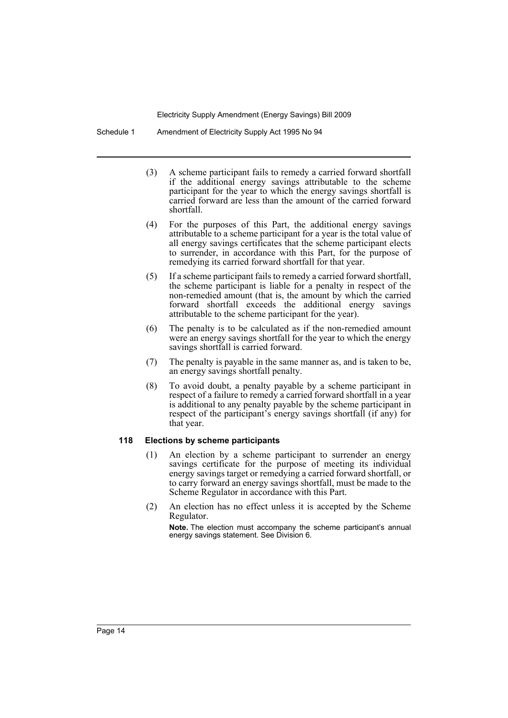Schedule 1 Amendment of Electricity Supply Act 1995 No 94

- (3) A scheme participant fails to remedy a carried forward shortfall if the additional energy savings attributable to the scheme participant for the year to which the energy savings shortfall is carried forward are less than the amount of the carried forward shortfall.
- (4) For the purposes of this Part, the additional energy savings attributable to a scheme participant for a year is the total value of all energy savings certificates that the scheme participant elects to surrender, in accordance with this Part, for the purpose of remedying its carried forward shortfall for that year.
- (5) If a scheme participant fails to remedy a carried forward shortfall, the scheme participant is liable for a penalty in respect of the non-remedied amount (that is, the amount by which the carried forward shortfall exceeds the additional energy savings attributable to the scheme participant for the year).
- (6) The penalty is to be calculated as if the non-remedied amount were an energy savings shortfall for the year to which the energy savings shortfall is carried forward.
- (7) The penalty is payable in the same manner as, and is taken to be, an energy savings shortfall penalty.
- (8) To avoid doubt, a penalty payable by a scheme participant in respect of a failure to remedy a carried forward shortfall in a year is additional to any penalty payable by the scheme participant in respect of the participant's energy savings shortfall (if any) for that year.

## **118 Elections by scheme participants**

- (1) An election by a scheme participant to surrender an energy savings certificate for the purpose of meeting its individual energy savings target or remedying a carried forward shortfall, or to carry forward an energy savings shortfall, must be made to the Scheme Regulator in accordance with this Part.
- (2) An election has no effect unless it is accepted by the Scheme Regulator.

**Note.** The election must accompany the scheme participant's annual energy savings statement. See Division 6.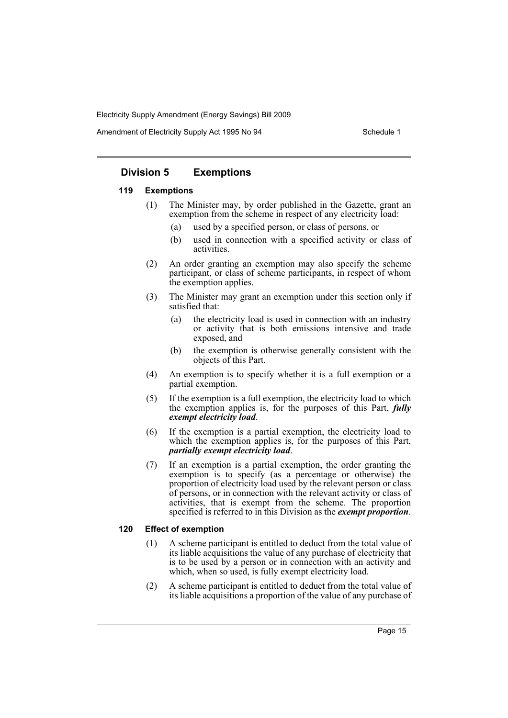Amendment of Electricity Supply Act 1995 No 94 Schedule 1

# **Division 5 Exemptions**

### **119 Exemptions**

- (1) The Minister may, by order published in the Gazette, grant an exemption from the scheme in respect of any electricity load:
	- (a) used by a specified person, or class of persons, or
	- (b) used in connection with a specified activity or class of activities.
- (2) An order granting an exemption may also specify the scheme participant, or class of scheme participants, in respect of whom the exemption applies.
- (3) The Minister may grant an exemption under this section only if satisfied that:
	- (a) the electricity load is used in connection with an industry or activity that is both emissions intensive and trade exposed, and
	- (b) the exemption is otherwise generally consistent with the objects of this Part.
- (4) An exemption is to specify whether it is a full exemption or a partial exemption.
- (5) If the exemption is a full exemption, the electricity load to which the exemption applies is, for the purposes of this Part, *fully exempt electricity load*.
- (6) If the exemption is a partial exemption, the electricity load to which the exemption applies is, for the purposes of this Part, *partially exempt electricity load*.
- (7) If an exemption is a partial exemption, the order granting the exemption is to specify (as a percentage or otherwise) the proportion of electricity load used by the relevant person or class of persons, or in connection with the relevant activity or class of activities, that is exempt from the scheme. The proportion specified is referred to in this Division as the *exempt proportion*.

### **120 Effect of exemption**

- (1) A scheme participant is entitled to deduct from the total value of its liable acquisitions the value of any purchase of electricity that is to be used by a person or in connection with an activity and which, when so used, is fully exempt electricity load.
- (2) A scheme participant is entitled to deduct from the total value of its liable acquisitions a proportion of the value of any purchase of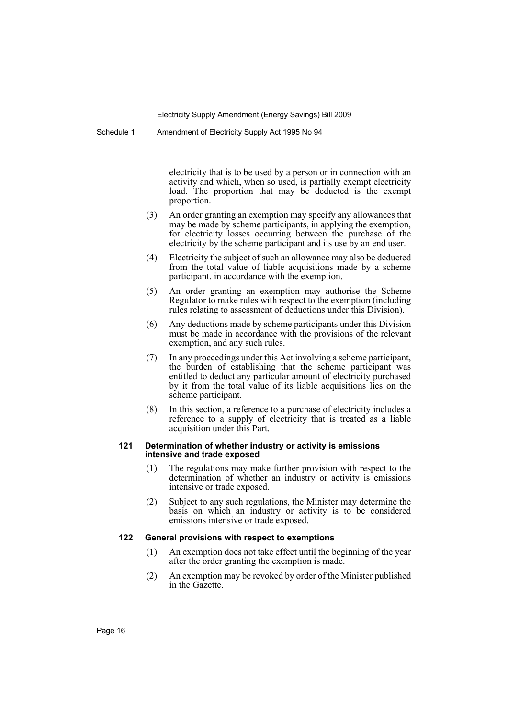Schedule 1 Amendment of Electricity Supply Act 1995 No 94

electricity that is to be used by a person or in connection with an activity and which, when so used, is partially exempt electricity load. The proportion that may be deducted is the exempt proportion.

- (3) An order granting an exemption may specify any allowances that may be made by scheme participants, in applying the exemption, for electricity losses occurring between the purchase of the electricity by the scheme participant and its use by an end user.
- (4) Electricity the subject of such an allowance may also be deducted from the total value of liable acquisitions made by a scheme participant, in accordance with the exemption.
- (5) An order granting an exemption may authorise the Scheme Regulator to make rules with respect to the exemption (including rules relating to assessment of deductions under this Division).
- (6) Any deductions made by scheme participants under this Division must be made in accordance with the provisions of the relevant exemption, and any such rules.
- (7) In any proceedings under this Act involving a scheme participant, the burden of establishing that the scheme participant was entitled to deduct any particular amount of electricity purchased by it from the total value of its liable acquisitions lies on the scheme participant.
- (8) In this section, a reference to a purchase of electricity includes a reference to a supply of electricity that is treated as a liable acquisition under this Part.

### **121 Determination of whether industry or activity is emissions intensive and trade exposed**

- (1) The regulations may make further provision with respect to the determination of whether an industry or activity is emissions intensive or trade exposed.
- (2) Subject to any such regulations, the Minister may determine the basis on which an industry or activity is to be considered emissions intensive or trade exposed.

# **122 General provisions with respect to exemptions**

- (1) An exemption does not take effect until the beginning of the year after the order granting the exemption is made.
- (2) An exemption may be revoked by order of the Minister published in the Gazette.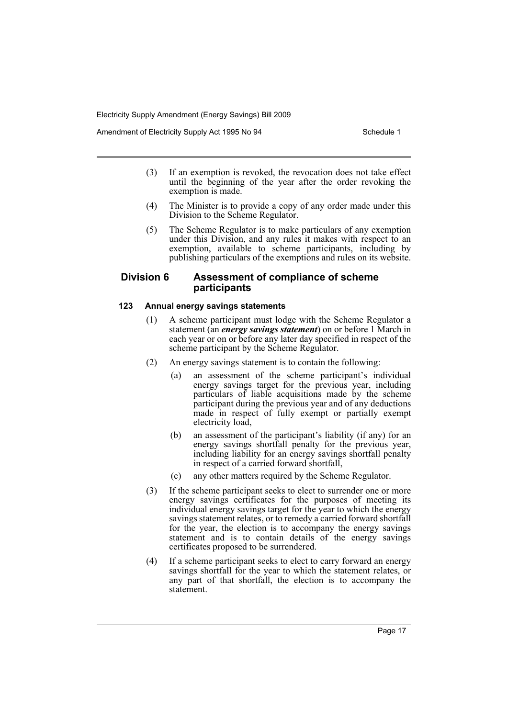Amendment of Electricity Supply Act 1995 No 94 Schedule 1

- (3) If an exemption is revoked, the revocation does not take effect until the beginning of the year after the order revoking the exemption is made.
- (4) The Minister is to provide a copy of any order made under this Division to the Scheme Regulator.
- (5) The Scheme Regulator is to make particulars of any exemption under this Division, and any rules it makes with respect to an exemption, available to scheme participants, including by publishing particulars of the exemptions and rules on its website.

# **Division 6 Assessment of compliance of scheme participants**

# **123 Annual energy savings statements**

- (1) A scheme participant must lodge with the Scheme Regulator a statement (an *energy savings statement*) on or before 1 March in each year or on or before any later day specified in respect of the scheme participant by the Scheme Regulator.
- (2) An energy savings statement is to contain the following:
	- (a) an assessment of the scheme participant's individual energy savings target for the previous year, including particulars of liable acquisitions made by the scheme participant during the previous year and of any deductions made in respect of fully exempt or partially exempt electricity load,
	- (b) an assessment of the participant's liability (if any) for an energy savings shortfall penalty for the previous year, including liability for an energy savings shortfall penalty in respect of a carried forward shortfall,
	- (c) any other matters required by the Scheme Regulator.
- (3) If the scheme participant seeks to elect to surrender one or more energy savings certificates for the purposes of meeting its individual energy savings target for the year to which the energy savings statement relates, or to remedy a carried forward shortfall for the year, the election is to accompany the energy savings statement and is to contain details of the energy savings certificates proposed to be surrendered.
- (4) If a scheme participant seeks to elect to carry forward an energy savings shortfall for the year to which the statement relates, or any part of that shortfall, the election is to accompany the statement.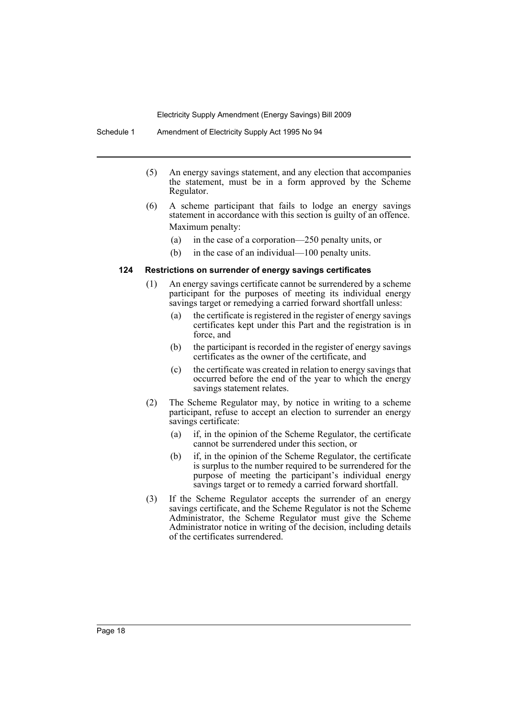- (5) An energy savings statement, and any election that accompanies the statement, must be in a form approved by the Scheme Regulator.
- (6) A scheme participant that fails to lodge an energy savings statement in accordance with this section is guilty of an offence. Maximum penalty:
	- (a) in the case of a corporation—250 penalty units, or
	- (b) in the case of an individual—100 penalty units.

### **124 Restrictions on surrender of energy savings certificates**

- (1) An energy savings certificate cannot be surrendered by a scheme participant for the purposes of meeting its individual energy savings target or remedying a carried forward shortfall unless:
	- (a) the certificate is registered in the register of energy savings certificates kept under this Part and the registration is in force, and
	- (b) the participant is recorded in the register of energy savings certificates as the owner of the certificate, and
	- (c) the certificate was created in relation to energy savings that occurred before the end of the year to which the energy savings statement relates.
- (2) The Scheme Regulator may, by notice in writing to a scheme participant, refuse to accept an election to surrender an energy savings certificate:
	- (a) if, in the opinion of the Scheme Regulator, the certificate cannot be surrendered under this section, or
	- (b) if, in the opinion of the Scheme Regulator, the certificate is surplus to the number required to be surrendered for the purpose of meeting the participant's individual energy savings target or to remedy a carried forward shortfall.
- (3) If the Scheme Regulator accepts the surrender of an energy savings certificate, and the Scheme Regulator is not the Scheme Administrator, the Scheme Regulator must give the Scheme Administrator notice in writing of the decision, including details of the certificates surrendered.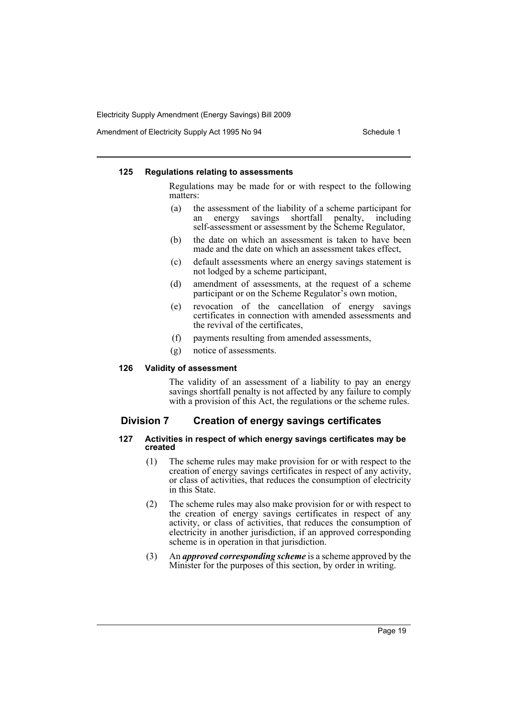Amendment of Electricity Supply Act 1995 No 94 Schedule 1

### **125 Regulations relating to assessments**

Regulations may be made for or with respect to the following matters:

- (a) the assessment of the liability of a scheme participant for an energy savings shortfall penalty, including self-assessment or assessment by the Scheme Regulator,
- (b) the date on which an assessment is taken to have been made and the date on which an assessment takes effect,
- (c) default assessments where an energy savings statement is not lodged by a scheme participant,
- (d) amendment of assessments, at the request of a scheme participant or on the Scheme Regulator's own motion,
- (e) revocation of the cancellation of energy savings certificates in connection with amended assessments and the revival of the certificates,
- (f) payments resulting from amended assessments,
- (g) notice of assessments.

# **126 Validity of assessment**

The validity of an assessment of a liability to pay an energy savings shortfall penalty is not affected by any failure to comply with a provision of this Act, the regulations or the scheme rules.

# **Division 7 Creation of energy savings certificates**

### **127 Activities in respect of which energy savings certificates may be created**

- (1) The scheme rules may make provision for or with respect to the creation of energy savings certificates in respect of any activity, or class of activities, that reduces the consumption of electricity in this State.
- (2) The scheme rules may also make provision for or with respect to the creation of energy savings certificates in respect of any activity, or class of activities, that reduces the consumption of electricity in another jurisdiction, if an approved corresponding scheme is in operation in that jurisdiction.
- (3) An *approved corresponding scheme* is a scheme approved by the Minister for the purposes of this section, by order in writing.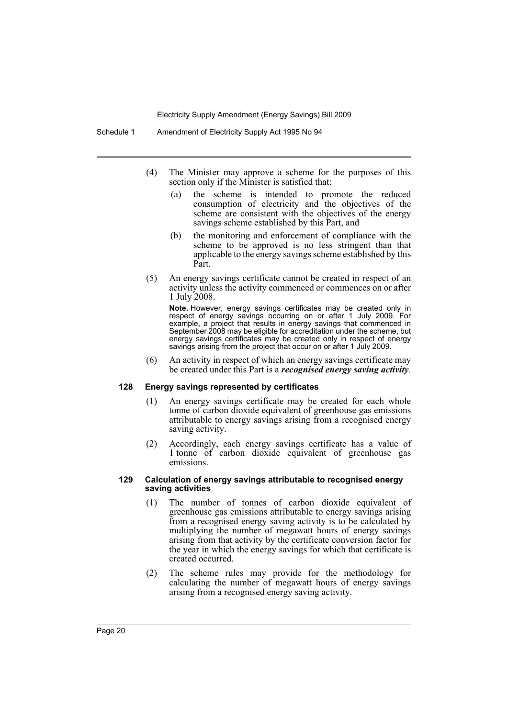Schedule 1 Amendment of Electricity Supply Act 1995 No 94

- (4) The Minister may approve a scheme for the purposes of this section only if the Minister is satisfied that:
	- (a) the scheme is intended to promote the reduced consumption of electricity and the objectives of the scheme are consistent with the objectives of the energy savings scheme established by this Part, and
	- (b) the monitoring and enforcement of compliance with the scheme to be approved is no less stringent than that applicable to the energy savings scheme established by this Part.
- (5) An energy savings certificate cannot be created in respect of an activity unless the activity commenced or commences on or after 1 July 2008.

**Note.** However, energy savings certificates may be created only in respect of energy savings occurring on or after 1 July 2009. For example, a project that results in energy savings that commenced in September 2008 may be eligible for accreditation under the scheme, but energy savings certificates may be created only in respect of energy savings arising from the project that occur on or after 1 July 2009.

(6) An activity in respect of which an energy savings certificate may be created under this Part is a *recognised energy saving activity*.

# **128 Energy savings represented by certificates**

- (1) An energy savings certificate may be created for each whole tonne of carbon dioxide equivalent of greenhouse gas emissions attributable to energy savings arising from a recognised energy saving activity.
- (2) Accordingly, each energy savings certificate has a value of 1 tonne of carbon dioxide equivalent of greenhouse gas emissions.

### **129 Calculation of energy savings attributable to recognised energy saving activities**

- (1) The number of tonnes of carbon dioxide equivalent of greenhouse gas emissions attributable to energy savings arising from a recognised energy saving activity is to be calculated by multiplying the number of megawatt hours of energy savings arising from that activity by the certificate conversion factor for the year in which the energy savings for which that certificate is created occurred.
- (2) The scheme rules may provide for the methodology for calculating the number of megawatt hours of energy savings arising from a recognised energy saving activity.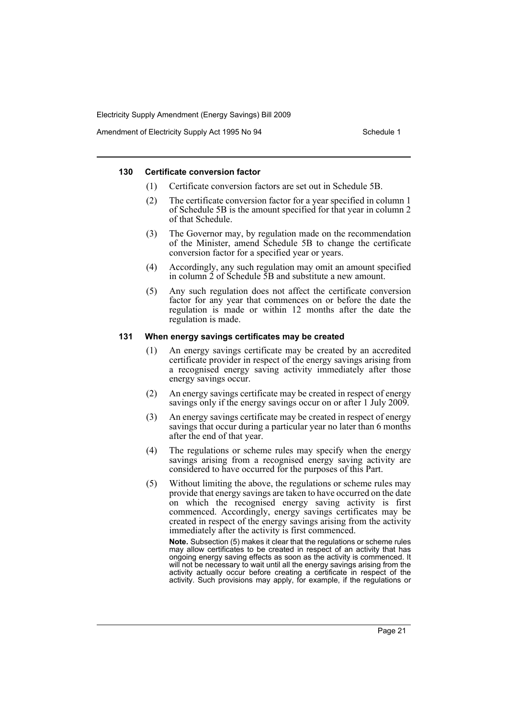Amendment of Electricity Supply Act 1995 No 94 Schedule 1

### **130 Certificate conversion factor**

- (1) Certificate conversion factors are set out in Schedule 5B.
- (2) The certificate conversion factor for a year specified in column 1 of Schedule 5B is the amount specified for that year in column 2 of that Schedule.
- (3) The Governor may, by regulation made on the recommendation of the Minister, amend Schedule 5B to change the certificate conversion factor for a specified year or years.
- (4) Accordingly, any such regulation may omit an amount specified in column 2 of Schedule 5B and substitute a new amount.
- (5) Any such regulation does not affect the certificate conversion factor for any year that commences on or before the date the regulation is made or within 12 months after the date the regulation is made.

### **131 When energy savings certificates may be created**

- (1) An energy savings certificate may be created by an accredited certificate provider in respect of the energy savings arising from a recognised energy saving activity immediately after those energy savings occur.
- (2) An energy savings certificate may be created in respect of energy savings only if the energy savings occur on or after 1 July 2009.
- (3) An energy savings certificate may be created in respect of energy savings that occur during a particular year no later than 6 months after the end of that year.
- (4) The regulations or scheme rules may specify when the energy savings arising from a recognised energy saving activity are considered to have occurred for the purposes of this Part.
- (5) Without limiting the above, the regulations or scheme rules may provide that energy savings are taken to have occurred on the date on which the recognised energy saving activity is first commenced. Accordingly, energy savings certificates may be created in respect of the energy savings arising from the activity immediately after the activity is first commenced.

**Note.** Subsection (5) makes it clear that the regulations or scheme rules may allow certificates to be created in respect of an activity that has ongoing energy saving effects as soon as the activity is commenced. It will not be necessary to wait until all the energy savings arising from the activity actually occur before creating a certificate in respect of the activity. Such provisions may apply, for example, if the regulations or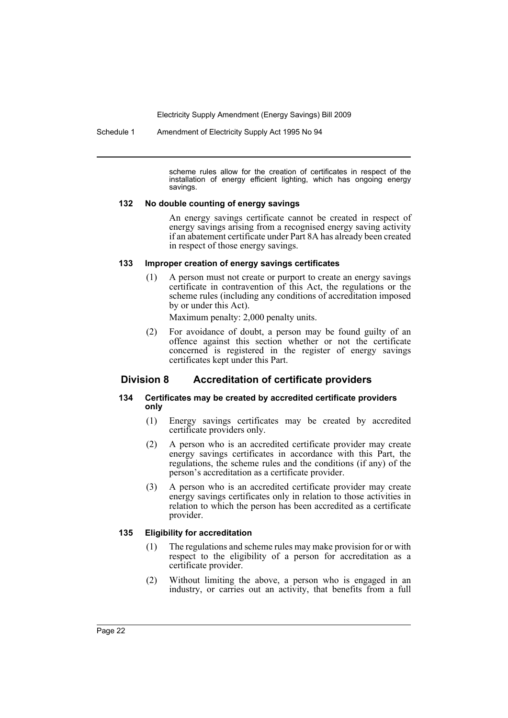Schedule 1 Amendment of Electricity Supply Act 1995 No 94

scheme rules allow for the creation of certificates in respect of the installation of energy efficient lighting, which has ongoing energy savings.

### **132 No double counting of energy savings**

An energy savings certificate cannot be created in respect of energy savings arising from a recognised energy saving activity if an abatement certificate under Part 8A has already been created in respect of those energy savings.

### **133 Improper creation of energy savings certificates**

(1) A person must not create or purport to create an energy savings certificate in contravention of this Act, the regulations or the scheme rules (including any conditions of accreditation imposed by or under this Act).

Maximum penalty: 2,000 penalty units.

(2) For avoidance of doubt, a person may be found guilty of an offence against this section whether or not the certificate concerned is registered in the register of energy savings certificates kept under this Part.

# **Division 8 Accreditation of certificate providers**

# **134 Certificates may be created by accredited certificate providers only**

- (1) Energy savings certificates may be created by accredited certificate providers only.
- (2) A person who is an accredited certificate provider may create energy savings certificates in accordance with this Part, the regulations, the scheme rules and the conditions (if any) of the person's accreditation as a certificate provider.
- (3) A person who is an accredited certificate provider may create energy savings certificates only in relation to those activities in relation to which the person has been accredited as a certificate provider.

### **135 Eligibility for accreditation**

- (1) The regulations and scheme rules may make provision for or with respect to the eligibility of a person for accreditation as a certificate provider.
- (2) Without limiting the above, a person who is engaged in an industry, or carries out an activity, that benefits from a full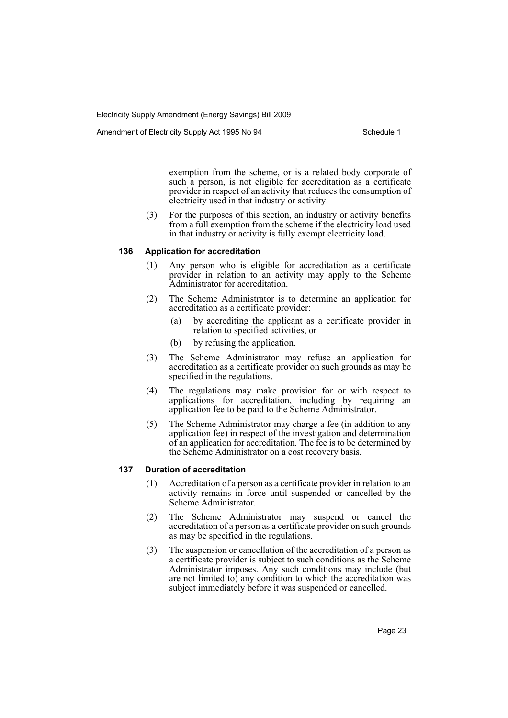Amendment of Electricity Supply Act 1995 No 94 Schedule 1

exemption from the scheme, or is a related body corporate of such a person, is not eligible for accreditation as a certificate provider in respect of an activity that reduces the consumption of electricity used in that industry or activity.

(3) For the purposes of this section, an industry or activity benefits from a full exemption from the scheme if the electricity load used in that industry or activity is fully exempt electricity load.

# **136 Application for accreditation**

- (1) Any person who is eligible for accreditation as a certificate provider in relation to an activity may apply to the Scheme Administrator for accreditation.
- (2) The Scheme Administrator is to determine an application for accreditation as a certificate provider:
	- (a) by accrediting the applicant as a certificate provider in relation to specified activities, or
	- (b) by refusing the application.
- (3) The Scheme Administrator may refuse an application for accreditation as a certificate provider on such grounds as may be specified in the regulations.
- (4) The regulations may make provision for or with respect to applications for accreditation, including by requiring an application fee to be paid to the Scheme Administrator.
- (5) The Scheme Administrator may charge a fee (in addition to any application fee) in respect of the investigation and determination of an application for accreditation. The fee is to be determined by the Scheme Administrator on a cost recovery basis.

# **137 Duration of accreditation**

- (1) Accreditation of a person as a certificate provider in relation to an activity remains in force until suspended or cancelled by the Scheme Administrator.
- (2) The Scheme Administrator may suspend or cancel the accreditation of a person as a certificate provider on such grounds as may be specified in the regulations.
- (3) The suspension or cancellation of the accreditation of a person as a certificate provider is subject to such conditions as the Scheme Administrator imposes. Any such conditions may include (but are not limited to) any condition to which the accreditation was subject immediately before it was suspended or cancelled.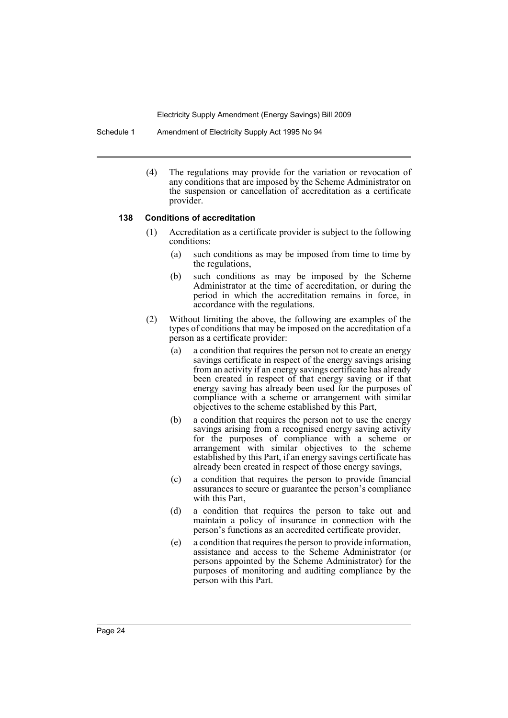Schedule 1 Amendment of Electricity Supply Act 1995 No 94

(4) The regulations may provide for the variation or revocation of any conditions that are imposed by the Scheme Administrator on the suspension or cancellation of accreditation as a certificate provider.

### **138 Conditions of accreditation**

- (1) Accreditation as a certificate provider is subject to the following conditions:
	- (a) such conditions as may be imposed from time to time by the regulations,
	- (b) such conditions as may be imposed by the Scheme Administrator at the time of accreditation, or during the period in which the accreditation remains in force, in accordance with the regulations.
- (2) Without limiting the above, the following are examples of the types of conditions that may be imposed on the accreditation of a person as a certificate provider:
	- (a) a condition that requires the person not to create an energy savings certificate in respect of the energy savings arising from an activity if an energy savings certificate has already been created in respect of that energy saving or if that energy saving has already been used for the purposes of compliance with a scheme or arrangement with similar objectives to the scheme established by this Part,
	- (b) a condition that requires the person not to use the energy savings arising from a recognised energy saving activity for the purposes of compliance with a scheme or arrangement with similar objectives to the scheme established by this Part, if an energy savings certificate has already been created in respect of those energy savings,
	- (c) a condition that requires the person to provide financial assurances to secure or guarantee the person's compliance with this Part,
	- (d) a condition that requires the person to take out and maintain a policy of insurance in connection with the person's functions as an accredited certificate provider,
	- (e) a condition that requires the person to provide information, assistance and access to the Scheme Administrator (or persons appointed by the Scheme Administrator) for the purposes of monitoring and auditing compliance by the person with this Part.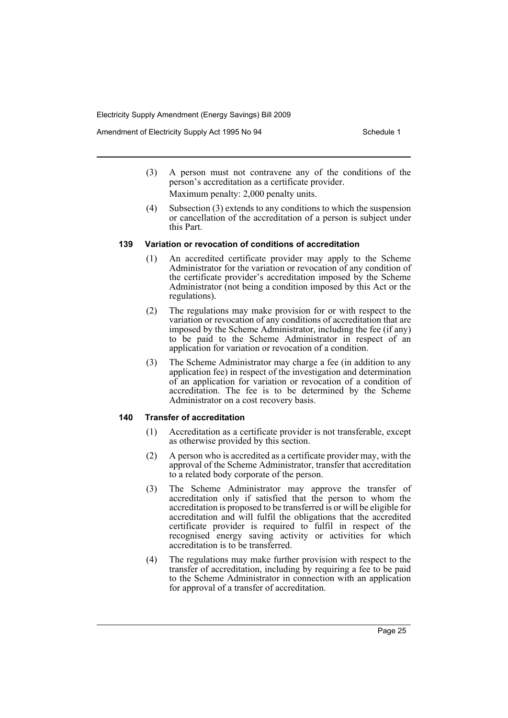Amendment of Electricity Supply Act 1995 No 94 Schedule 1

- (3) A person must not contravene any of the conditions of the person's accreditation as a certificate provider. Maximum penalty: 2,000 penalty units.
- (4) Subsection (3) extends to any conditions to which the suspension or cancellation of the accreditation of a person is subject under this Part.

# **139 Variation or revocation of conditions of accreditation**

- (1) An accredited certificate provider may apply to the Scheme Administrator for the variation or revocation of any condition of the certificate provider's accreditation imposed by the Scheme Administrator (not being a condition imposed by this Act or the regulations).
- (2) The regulations may make provision for or with respect to the variation or revocation of any conditions of accreditation that are imposed by the Scheme Administrator, including the fee (if any) to be paid to the Scheme Administrator in respect of an application for variation or revocation of a condition.
- (3) The Scheme Administrator may charge a fee (in addition to any application fee) in respect of the investigation and determination of an application for variation or revocation of a condition of accreditation. The fee is to be determined by the Scheme Administrator on a cost recovery basis.

# **140 Transfer of accreditation**

- (1) Accreditation as a certificate provider is not transferable, except as otherwise provided by this section.
- (2) A person who is accredited as a certificate provider may, with the approval of the Scheme Administrator, transfer that accreditation to a related body corporate of the person.
- (3) The Scheme Administrator may approve the transfer of accreditation only if satisfied that the person to whom the accreditation is proposed to be transferred is or will be eligible for accreditation and will fulfil the obligations that the accredited certificate provider is required to fulfil in respect of the recognised energy saving activity or activities for which accreditation is to be transferred.
- (4) The regulations may make further provision with respect to the transfer of accreditation, including by requiring a fee to be paid to the Scheme Administrator in connection with an application for approval of a transfer of accreditation.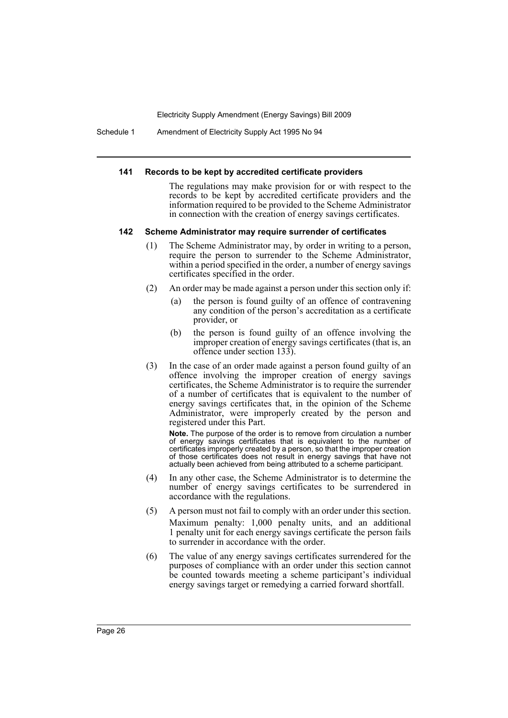Schedule 1 Amendment of Electricity Supply Act 1995 No 94

#### **141 Records to be kept by accredited certificate providers**

The regulations may make provision for or with respect to the records to be kept by accredited certificate providers and the information required to be provided to the Scheme Administrator in connection with the creation of energy savings certificates.

#### **142 Scheme Administrator may require surrender of certificates**

- (1) The Scheme Administrator may, by order in writing to a person, require the person to surrender to the Scheme Administrator, within a period specified in the order, a number of energy savings certificates specified in the order.
- (2) An order may be made against a person under this section only if:
	- (a) the person is found guilty of an offence of contravening any condition of the person's accreditation as a certificate provider, or
	- (b) the person is found guilty of an offence involving the improper creation of energy savings certificates (that is, an offence under section 133).
- (3) In the case of an order made against a person found guilty of an offence involving the improper creation of energy savings certificates, the Scheme Administrator is to require the surrender of a number of certificates that is equivalent to the number of energy savings certificates that, in the opinion of the Scheme Administrator, were improperly created by the person and registered under this Part.

**Note.** The purpose of the order is to remove from circulation a number of energy savings certificates that is equivalent to the number of certificates improperly created by a person, so that the improper creation of those certificates does not result in energy savings that have not actually been achieved from being attributed to a scheme participant.

- (4) In any other case, the Scheme Administrator is to determine the number of energy savings certificates to be surrendered in accordance with the regulations.
- (5) A person must not fail to comply with an order under this section. Maximum penalty: 1,000 penalty units, and an additional 1 penalty unit for each energy savings certificate the person fails to surrender in accordance with the order.
- (6) The value of any energy savings certificates surrendered for the purposes of compliance with an order under this section cannot be counted towards meeting a scheme participant's individual energy savings target or remedying a carried forward shortfall.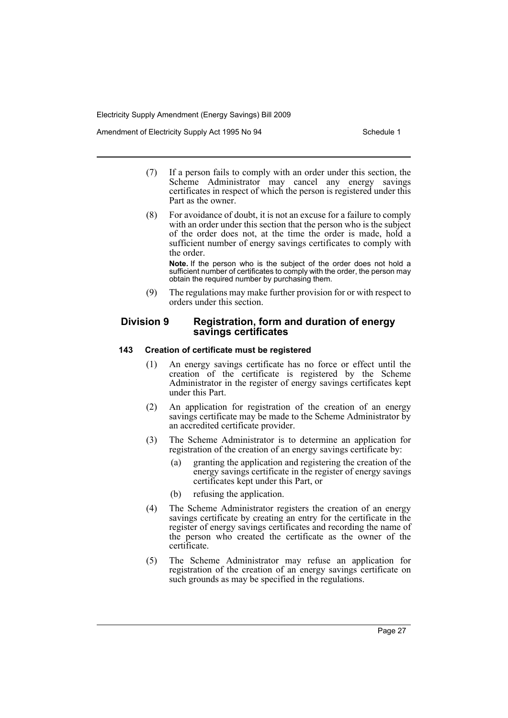Amendment of Electricity Supply Act 1995 No 94 Schedule 1

- (7) If a person fails to comply with an order under this section, the Scheme Administrator may cancel any energy savings certificates in respect of which the person is registered under this Part as the owner.
- (8) For avoidance of doubt, it is not an excuse for a failure to comply with an order under this section that the person who is the subject of the order does not, at the time the order is made, hold a sufficient number of energy savings certificates to comply with the order.

**Note.** If the person who is the subject of the order does not hold a sufficient number of certificates to comply with the order, the person may obtain the required number by purchasing them.

(9) The regulations may make further provision for or with respect to orders under this section.

# **Division 9 Registration, form and duration of energy savings certificates**

# **143 Creation of certificate must be registered**

- (1) An energy savings certificate has no force or effect until the creation of the certificate is registered by the Scheme Administrator in the register of energy savings certificates kept under this Part.
- (2) An application for registration of the creation of an energy savings certificate may be made to the Scheme Administrator by an accredited certificate provider.
- (3) The Scheme Administrator is to determine an application for registration of the creation of an energy savings certificate by:
	- (a) granting the application and registering the creation of the energy savings certificate in the register of energy savings certificates kept under this Part, or
	- (b) refusing the application.
- (4) The Scheme Administrator registers the creation of an energy savings certificate by creating an entry for the certificate in the register of energy savings certificates and recording the name of the person who created the certificate as the owner of the certificate.
- (5) The Scheme Administrator may refuse an application for registration of the creation of an energy savings certificate on such grounds as may be specified in the regulations.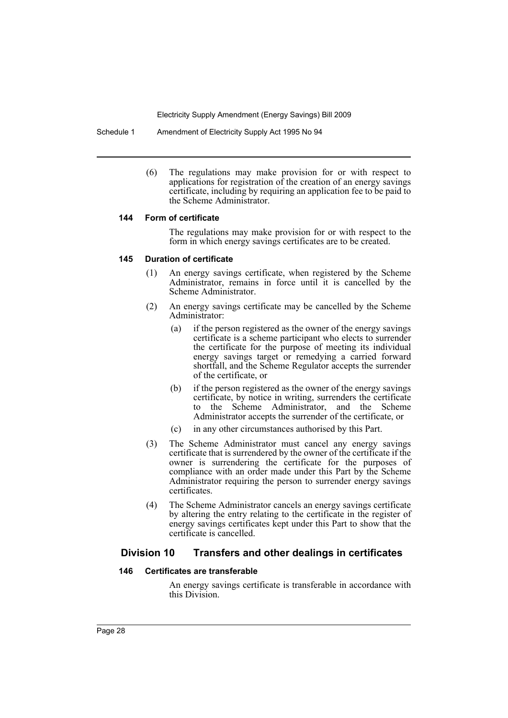Schedule 1 Amendment of Electricity Supply Act 1995 No 94

(6) The regulations may make provision for or with respect to applications for registration of the creation of an energy savings certificate, including by requiring an application fee to be paid to the Scheme Administrator.

# **144 Form of certificate**

The regulations may make provision for or with respect to the form in which energy savings certificates are to be created.

# **145 Duration of certificate**

- (1) An energy savings certificate, when registered by the Scheme Administrator, remains in force until it is cancelled by the Scheme Administrator.
- (2) An energy savings certificate may be cancelled by the Scheme Administrator:
	- (a) if the person registered as the owner of the energy savings certificate is a scheme participant who elects to surrender the certificate for the purpose of meeting its individual energy savings target or remedying a carried forward shortfall, and the Scheme Regulator accepts the surrender of the certificate, or
	- (b) if the person registered as the owner of the energy savings certificate, by notice in writing, surrenders the certificate to the Scheme Administrator, and the Scheme Administrator accepts the surrender of the certificate, or
	- (c) in any other circumstances authorised by this Part.
- (3) The Scheme Administrator must cancel any energy savings certificate that is surrendered by the owner of the certificate if the owner is surrendering the certificate for the purposes of compliance with an order made under this Part by the Scheme Administrator requiring the person to surrender energy savings certificates.
- (4) The Scheme Administrator cancels an energy savings certificate by altering the entry relating to the certificate in the register of energy savings certificates kept under this Part to show that the certificate is cancelled.

# **Division 10 Transfers and other dealings in certificates**

# **146 Certificates are transferable**

An energy savings certificate is transferable in accordance with this Division.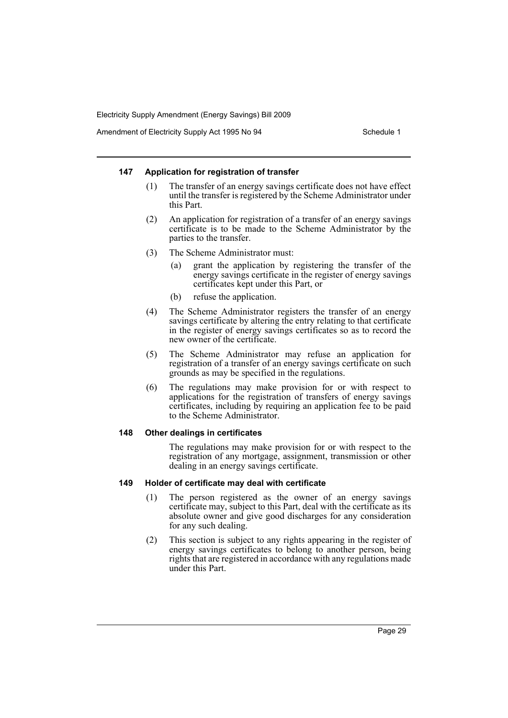Amendment of Electricity Supply Act 1995 No 94 Schedule 1

### **147 Application for registration of transfer**

- (1) The transfer of an energy savings certificate does not have effect until the transfer is registered by the Scheme Administrator under this Part.
- (2) An application for registration of a transfer of an energy savings certificate is to be made to the Scheme Administrator by the parties to the transfer.
- (3) The Scheme Administrator must:
	- (a) grant the application by registering the transfer of the energy savings certificate in the register of energy savings certificates kept under this Part, or
	- (b) refuse the application.
- (4) The Scheme Administrator registers the transfer of an energy savings certificate by altering the entry relating to that certificate in the register of energy savings certificates so as to record the new owner of the certificate.
- (5) The Scheme Administrator may refuse an application for registration of a transfer of an energy savings certificate on such grounds as may be specified in the regulations.
- (6) The regulations may make provision for or with respect to applications for the registration of transfers of energy savings certificates, including by requiring an application fee to be paid to the Scheme Administrator.

### **148 Other dealings in certificates**

The regulations may make provision for or with respect to the registration of any mortgage, assignment, transmission or other dealing in an energy savings certificate.

### **149 Holder of certificate may deal with certificate**

- (1) The person registered as the owner of an energy savings certificate may, subject to this Part, deal with the certificate as its absolute owner and give good discharges for any consideration for any such dealing.
- (2) This section is subject to any rights appearing in the register of energy savings certificates to belong to another person, being rights that are registered in accordance with any regulations made under this Part.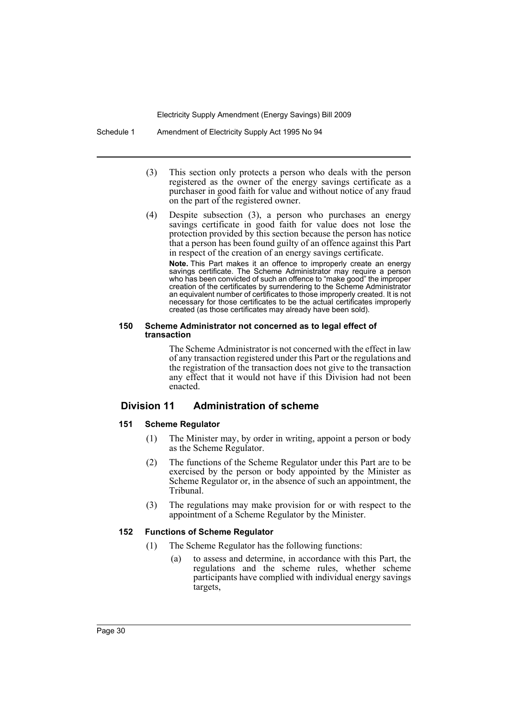Schedule 1 Amendment of Electricity Supply Act 1995 No 94

- (3) This section only protects a person who deals with the person registered as the owner of the energy savings certificate as a purchaser in good faith for value and without notice of any fraud on the part of the registered owner.
- (4) Despite subsection (3), a person who purchases an energy savings certificate in good faith for value does not lose the protection provided by this section because the person has notice that a person has been found guilty of an offence against this Part in respect of the creation of an energy savings certificate.

**Note.** This Part makes it an offence to improperly create an energy savings certificate. The Scheme Administrator may require a person who has been convicted of such an offence to "make good" the improper creation of the certificates by surrendering to the Scheme Administrator an equivalent number of certificates to those improperly created. It is not necessary for those certificates to be the actual certificates improperly created (as those certificates may already have been sold).

#### **150 Scheme Administrator not concerned as to legal effect of transaction**

The Scheme Administrator is not concerned with the effect in law of any transaction registered under this Part or the regulations and the registration of the transaction does not give to the transaction any effect that it would not have if this Division had not been enacted.

# **Division 11 Administration of scheme**

# **151 Scheme Regulator**

- (1) The Minister may, by order in writing, appoint a person or body as the Scheme Regulator.
- (2) The functions of the Scheme Regulator under this Part are to be exercised by the person or body appointed by the Minister as Scheme Regulator or, in the absence of such an appointment, the Tribunal.
- (3) The regulations may make provision for or with respect to the appointment of a Scheme Regulator by the Minister.

### **152 Functions of Scheme Regulator**

- (1) The Scheme Regulator has the following functions:
	- (a) to assess and determine, in accordance with this Part, the regulations and the scheme rules, whether scheme participants have complied with individual energy savings targets,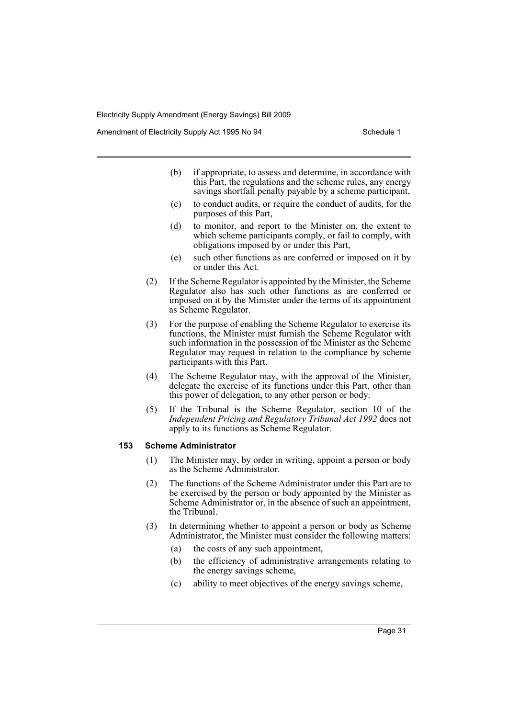Amendment of Electricity Supply Act 1995 No 94 Schedule 1

- (b) if appropriate, to assess and determine, in accordance with this Part, the regulations and the scheme rules, any energy savings shortfall penalty payable by a scheme participant,
- (c) to conduct audits, or require the conduct of audits, for the purposes of this Part,
- (d) to monitor, and report to the Minister on, the extent to which scheme participants comply, or fail to comply, with obligations imposed by or under this Part,
- (e) such other functions as are conferred or imposed on it by or under this Act.
- (2) If the Scheme Regulator is appointed by the Minister, the Scheme Regulator also has such other functions as are conferred or imposed on it by the Minister under the terms of its appointment as Scheme Regulator.
- (3) For the purpose of enabling the Scheme Regulator to exercise its functions, the Minister must furnish the Scheme Regulator with such information in the possession of the Minister as the Scheme Regulator may request in relation to the compliance by scheme participants with this Part.
- (4) The Scheme Regulator may, with the approval of the Minister, delegate the exercise of its functions under this Part, other than this power of delegation, to any other person or body.
- (5) If the Tribunal is the Scheme Regulator, section 10 of the *Independent Pricing and Regulatory Tribunal Act 1992* does not apply to its functions as Scheme Regulator.

### **153 Scheme Administrator**

- (1) The Minister may, by order in writing, appoint a person or body as the Scheme Administrator.
- (2) The functions of the Scheme Administrator under this Part are to be exercised by the person or body appointed by the Minister as Scheme Administrator or, in the absence of such an appointment, the Tribunal.
- (3) In determining whether to appoint a person or body as Scheme Administrator, the Minister must consider the following matters:
	- (a) the costs of any such appointment,
	- (b) the efficiency of administrative arrangements relating to the energy savings scheme,
	- (c) ability to meet objectives of the energy savings scheme,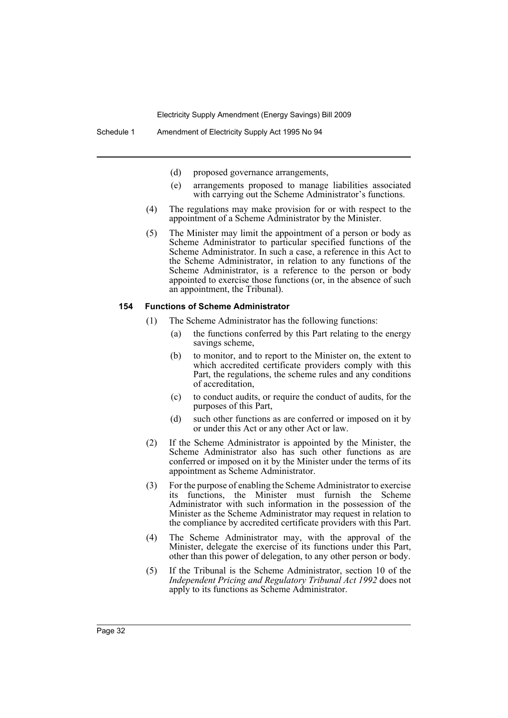- (d) proposed governance arrangements,
- (e) arrangements proposed to manage liabilities associated with carrying out the Scheme Administrator's functions.
- (4) The regulations may make provision for or with respect to the appointment of a Scheme Administrator by the Minister.
- (5) The Minister may limit the appointment of a person or body as Scheme Administrator to particular specified functions of the Scheme Administrator. In such a case, a reference in this Act to the Scheme Administrator, in relation to any functions of the Scheme Administrator, is a reference to the person or body appointed to exercise those functions (or, in the absence of such an appointment, the Tribunal).

#### **154 Functions of Scheme Administrator**

- (1) The Scheme Administrator has the following functions:
	- (a) the functions conferred by this Part relating to the energy savings scheme,
	- (b) to monitor, and to report to the Minister on, the extent to which accredited certificate providers comply with this Part, the regulations, the scheme rules and any conditions of accreditation,
	- (c) to conduct audits, or require the conduct of audits, for the purposes of this Part,
	- (d) such other functions as are conferred or imposed on it by or under this Act or any other Act or law.
- (2) If the Scheme Administrator is appointed by the Minister, the Scheme Administrator also has such other functions as are conferred or imposed on it by the Minister under the terms of its appointment as Scheme Administrator.
- (3) For the purpose of enabling the Scheme Administrator to exercise its functions, the Minister must furnish the Scheme Administrator with such information in the possession of the Minister as the Scheme Administrator may request in relation to the compliance by accredited certificate providers with this Part.
- (4) The Scheme Administrator may, with the approval of the Minister, delegate the exercise of its functions under this Part, other than this power of delegation, to any other person or body.
- (5) If the Tribunal is the Scheme Administrator, section 10 of the *Independent Pricing and Regulatory Tribunal Act 1992* does not apply to its functions as Scheme Administrator.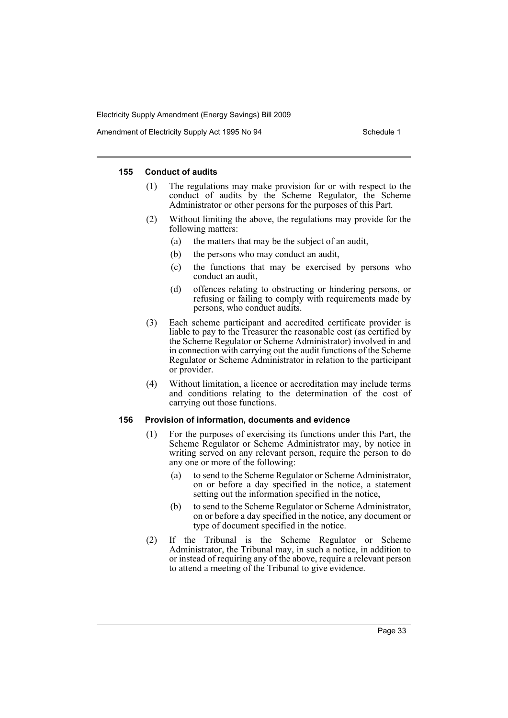Amendment of Electricity Supply Act 1995 No 94 Schedule 1

### **155 Conduct of audits**

- (1) The regulations may make provision for or with respect to the conduct of audits by the Scheme Regulator, the Scheme Administrator or other persons for the purposes of this Part.
- (2) Without limiting the above, the regulations may provide for the following matters:
	- (a) the matters that may be the subject of an audit,
	- (b) the persons who may conduct an audit,
	- (c) the functions that may be exercised by persons who conduct an audit,
	- (d) offences relating to obstructing or hindering persons, or refusing or failing to comply with requirements made by persons, who conduct audits.
- (3) Each scheme participant and accredited certificate provider is liable to pay to the Treasurer the reasonable cost (as certified by the Scheme Regulator or Scheme Administrator) involved in and in connection with carrying out the audit functions of the Scheme Regulator or Scheme Administrator in relation to the participant or provider.
- (4) Without limitation, a licence or accreditation may include terms and conditions relating to the determination of the cost of carrying out those functions.

#### **156 Provision of information, documents and evidence**

- (1) For the purposes of exercising its functions under this Part, the Scheme Regulator or Scheme Administrator may, by notice in writing served on any relevant person, require the person to do any one or more of the following:
	- (a) to send to the Scheme Regulator or Scheme Administrator, on or before a day specified in the notice, a statement setting out the information specified in the notice,
	- (b) to send to the Scheme Regulator or Scheme Administrator, on or before a day specified in the notice, any document or type of document specified in the notice.
- (2) If the Tribunal is the Scheme Regulator or Scheme Administrator, the Tribunal may, in such a notice, in addition to or instead of requiring any of the above, require a relevant person to attend a meeting of the Tribunal to give evidence.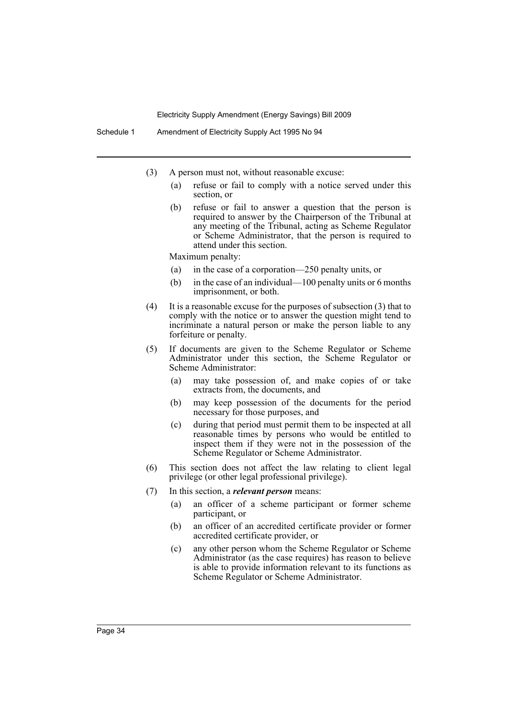- (3) A person must not, without reasonable excuse:
	- (a) refuse or fail to comply with a notice served under this section, or
	- (b) refuse or fail to answer a question that the person is required to answer by the Chairperson of the Tribunal at any meeting of the Tribunal, acting as Scheme Regulator or Scheme Administrator, that the person is required to attend under this section.

Maximum penalty:

- (a) in the case of a corporation—250 penalty units, or
- (b) in the case of an individual—100 penalty units or 6 months imprisonment, or both.
- (4) It is a reasonable excuse for the purposes of subsection (3) that to comply with the notice or to answer the question might tend to incriminate a natural person or make the person liable to any forfeiture or penalty.
- (5) If documents are given to the Scheme Regulator or Scheme Administrator under this section, the Scheme Regulator or Scheme Administrator:
	- (a) may take possession of, and make copies of or take extracts from, the documents, and
	- (b) may keep possession of the documents for the period necessary for those purposes, and
	- (c) during that period must permit them to be inspected at all reasonable times by persons who would be entitled to inspect them if they were not in the possession of the Scheme Regulator or Scheme Administrator.
- (6) This section does not affect the law relating to client legal privilege (or other legal professional privilege).
- (7) In this section, a *relevant person* means:
	- (a) an officer of a scheme participant or former scheme participant, or
	- (b) an officer of an accredited certificate provider or former accredited certificate provider, or
	- (c) any other person whom the Scheme Regulator or Scheme Administrator (as the case requires) has reason to believe is able to provide information relevant to its functions as Scheme Regulator or Scheme Administrator.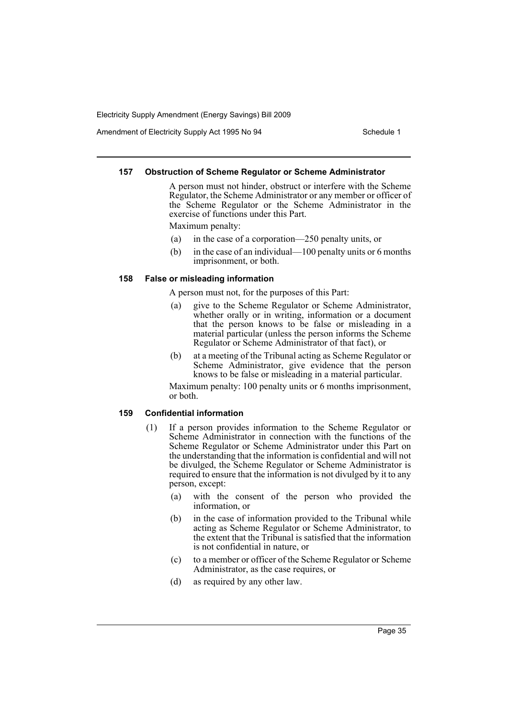Amendment of Electricity Supply Act 1995 No 94 Schedule 1

### **157 Obstruction of Scheme Regulator or Scheme Administrator**

A person must not hinder, obstruct or interfere with the Scheme Regulator, the Scheme Administrator or any member or officer of the Scheme Regulator or the Scheme Administrator in the exercise of functions under this Part.

Maximum penalty:

- (a) in the case of a corporation—250 penalty units, or
- (b) in the case of an individual—100 penalty units or 6 months imprisonment, or both.

### **158 False or misleading information**

A person must not, for the purposes of this Part:

- (a) give to the Scheme Regulator or Scheme Administrator, whether orally or in writing, information or a document that the person knows to be false or misleading in a material particular (unless the person informs the Scheme Regulator or Scheme Administrator of that fact), or
- (b) at a meeting of the Tribunal acting as Scheme Regulator or Scheme Administrator, give evidence that the person knows to be false or misleading in a material particular.

Maximum penalty: 100 penalty units or 6 months imprisonment, or both.

#### **159 Confidential information**

- (1) If a person provides information to the Scheme Regulator or Scheme Administrator in connection with the functions of the Scheme Regulator or Scheme Administrator under this Part on the understanding that the information is confidential and will not be divulged, the Scheme Regulator or Scheme Administrator is required to ensure that the information is not divulged by it to any person, except:
	- (a) with the consent of the person who provided the information, or
	- (b) in the case of information provided to the Tribunal while acting as Scheme Regulator or Scheme Administrator, to the extent that the Tribunal is satisfied that the information is not confidential in nature, or
	- (c) to a member or officer of the Scheme Regulator or Scheme Administrator, as the case requires, or
	- (d) as required by any other law.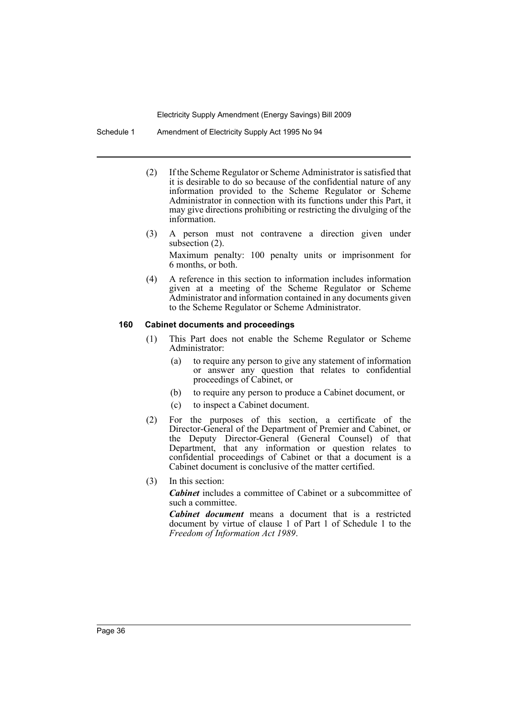Schedule 1 Amendment of Electricity Supply Act 1995 No 94

- (2) If the Scheme Regulator or Scheme Administrator is satisfied that it is desirable to do so because of the confidential nature of any information provided to the Scheme Regulator or Scheme Administrator in connection with its functions under this Part, it may give directions prohibiting or restricting the divulging of the information.
- (3) A person must not contravene a direction given under subsection (2). Maximum penalty: 100 penalty units or imprisonment for

6 months, or both.

(4) A reference in this section to information includes information given at a meeting of the Scheme Regulator or Scheme Administrator and information contained in any documents given to the Scheme Regulator or Scheme Administrator.

# **160 Cabinet documents and proceedings**

- (1) This Part does not enable the Scheme Regulator or Scheme Administrator:
	- (a) to require any person to give any statement of information or answer any question that relates to confidential proceedings of Cabinet, or
	- (b) to require any person to produce a Cabinet document, or
	- (c) to inspect a Cabinet document.
- (2) For the purposes of this section, a certificate of the Director-General of the Department of Premier and Cabinet, or the Deputy Director-General (General Counsel) of that Department, that any information or question relates to confidential proceedings of Cabinet or that a document is a Cabinet document is conclusive of the matter certified.
- (3) In this section:

*Cabinet* includes a committee of Cabinet or a subcommittee of such a committee.

*Cabinet document* means a document that is a restricted document by virtue of clause 1 of Part 1 of Schedule 1 to the *Freedom of Information Act 1989*.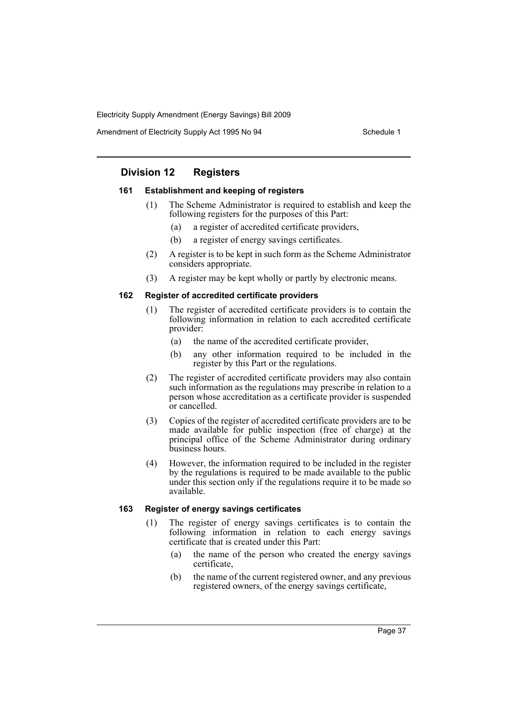Amendment of Electricity Supply Act 1995 No 94 Schedule 1

# **Division 12 Registers**

# **161 Establishment and keeping of registers**

- (1) The Scheme Administrator is required to establish and keep the following registers for the purposes of this Part:
	- (a) a register of accredited certificate providers,
	- (b) a register of energy savings certificates.
- (2) A register is to be kept in such form as the Scheme Administrator considers appropriate.
- (3) A register may be kept wholly or partly by electronic means.

# **162 Register of accredited certificate providers**

- (1) The register of accredited certificate providers is to contain the following information in relation to each accredited certificate provider:
	- (a) the name of the accredited certificate provider,
	- (b) any other information required to be included in the register by this Part or the regulations.
- (2) The register of accredited certificate providers may also contain such information as the regulations may prescribe in relation to a person whose accreditation as a certificate provider is suspended or cancelled.
- (3) Copies of the register of accredited certificate providers are to be made available for public inspection (free of charge) at the principal office of the Scheme Administrator during ordinary business hours.
- (4) However, the information required to be included in the register by the regulations is required to be made available to the public under this section only if the regulations require it to be made so available.

# **163 Register of energy savings certificates**

- (1) The register of energy savings certificates is to contain the following information in relation to each energy savings certificate that is created under this Part:
	- (a) the name of the person who created the energy savings certificate,
	- (b) the name of the current registered owner, and any previous registered owners, of the energy savings certificate,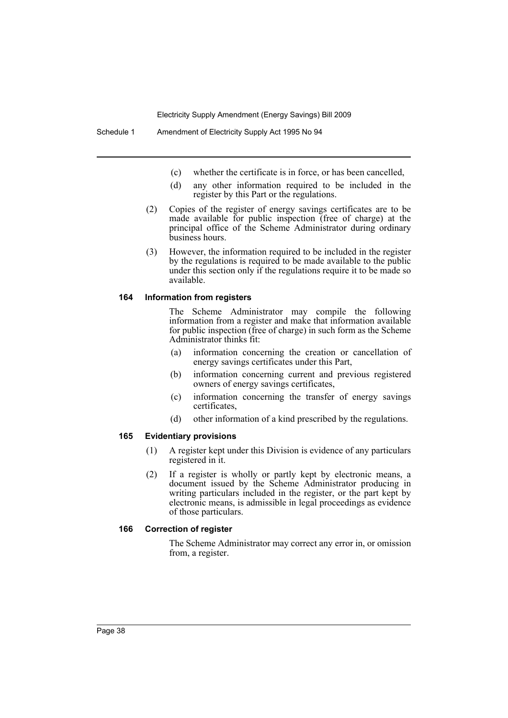- (c) whether the certificate is in force, or has been cancelled,
- (d) any other information required to be included in the register by this Part or the regulations.
- (2) Copies of the register of energy savings certificates are to be made available for public inspection (free of charge) at the principal office of the Scheme Administrator during ordinary business hours.
- (3) However, the information required to be included in the register by the regulations is required to be made available to the public under this section only if the regulations require it to be made so available.

### **164 Information from registers**

The Scheme Administrator may compile the following information from a register and make that information available for public inspection (free of charge) in such form as the Scheme Administrator thinks fit:

- (a) information concerning the creation or cancellation of energy savings certificates under this Part,
- (b) information concerning current and previous registered owners of energy savings certificates,
- (c) information concerning the transfer of energy savings certificates,
- (d) other information of a kind prescribed by the regulations.

### **165 Evidentiary provisions**

- (1) A register kept under this Division is evidence of any particulars registered in it.
- (2) If a register is wholly or partly kept by electronic means, a document issued by the Scheme Administrator producing in writing particulars included in the register, or the part kept by electronic means, is admissible in legal proceedings as evidence of those particulars.

### **166 Correction of register**

The Scheme Administrator may correct any error in, or omission from, a register.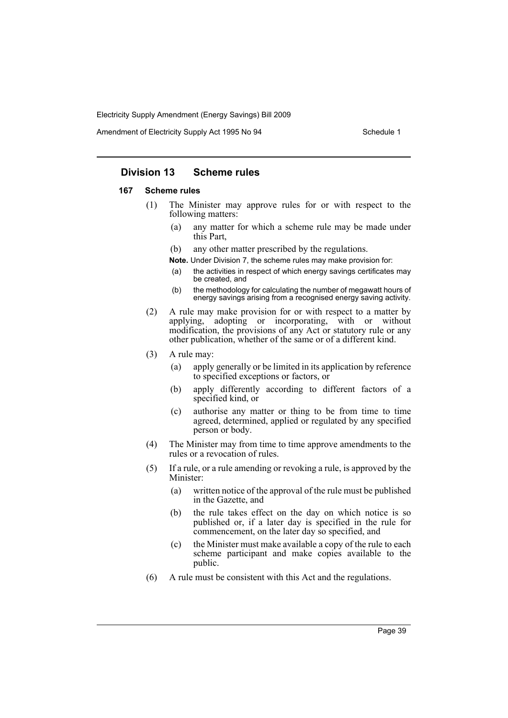Amendment of Electricity Supply Act 1995 No 94 Schedule 1

# **Division 13 Scheme rules**

# **167 Scheme rules**

- (1) The Minister may approve rules for or with respect to the following matters:
	- (a) any matter for which a scheme rule may be made under this Part,
	- (b) any other matter prescribed by the regulations.

**Note.** Under Division 7, the scheme rules may make provision for:

- (a) the activities in respect of which energy savings certificates may be created, and
- (b) the methodology for calculating the number of megawatt hours of energy savings arising from a recognised energy saving activity.
- (2) A rule may make provision for or with respect to a matter by applying, adopting or incorporating, with or without modification, the provisions of any Act or statutory rule or any other publication, whether of the same or of a different kind.
- (3) A rule may:
	- (a) apply generally or be limited in its application by reference to specified exceptions or factors, or
	- (b) apply differently according to different factors of a specified kind, or
	- (c) authorise any matter or thing to be from time to time agreed, determined, applied or regulated by any specified person or body.
- (4) The Minister may from time to time approve amendments to the rules or a revocation of rules.
- (5) If a rule, or a rule amending or revoking a rule, is approved by the Minister:
	- (a) written notice of the approval of the rule must be published in the Gazette, and
	- (b) the rule takes effect on the day on which notice is so published or, if a later day is specified in the rule for commencement, on the later day so specified, and
	- (c) the Minister must make available a copy of the rule to each scheme participant and make copies available to the public.
- (6) A rule must be consistent with this Act and the regulations.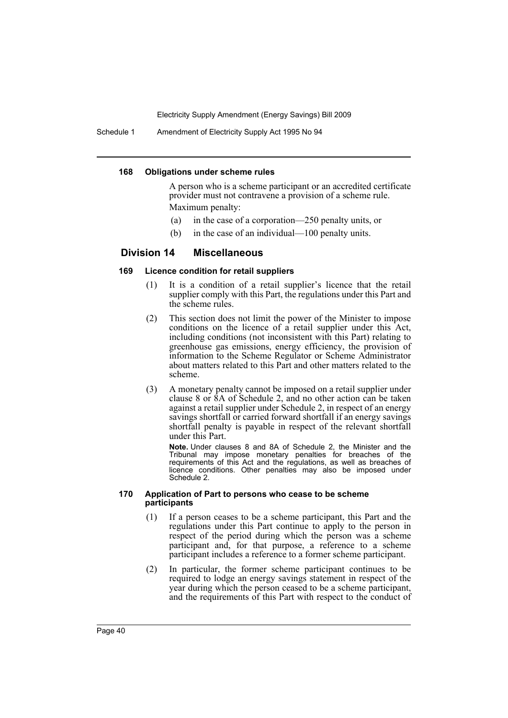Schedule 1 Amendment of Electricity Supply Act 1995 No 94

#### **168 Obligations under scheme rules**

A person who is a scheme participant or an accredited certificate provider must not contravene a provision of a scheme rule. Maximum penalty:

- (a) in the case of a corporation—250 penalty units, or
- (b) in the case of an individual—100 penalty units.

# **Division 14 Miscellaneous**

### **169 Licence condition for retail suppliers**

- (1) It is a condition of a retail supplier's licence that the retail supplier comply with this Part, the regulations under this Part and the scheme rules.
- (2) This section does not limit the power of the Minister to impose conditions on the licence of a retail supplier under this Act, including conditions (not inconsistent with this Part) relating to greenhouse gas emissions, energy efficiency, the provision of information to the Scheme Regulator or Scheme Administrator about matters related to this Part and other matters related to the scheme.
- (3) A monetary penalty cannot be imposed on a retail supplier under clause 8 or 8A of Schedule 2, and no other action can be taken against a retail supplier under Schedule 2, in respect of an energy savings shortfall or carried forward shortfall if an energy savings shortfall penalty is payable in respect of the relevant shortfall under this Part.

**Note.** Under clauses 8 and 8A of Schedule 2, the Minister and the Tribunal may impose monetary penalties for breaches of the requirements of this Act and the regulations, as well as breaches of licence conditions. Other penalties may also be imposed under Schedule 2.

#### **170 Application of Part to persons who cease to be scheme participants**

- (1) If a person ceases to be a scheme participant, this Part and the regulations under this Part continue to apply to the person in respect of the period during which the person was a scheme participant and, for that purpose, a reference to a scheme participant includes a reference to a former scheme participant.
- (2) In particular, the former scheme participant continues to be required to lodge an energy savings statement in respect of the year during which the person ceased to be a scheme participant, and the requirements of this Part with respect to the conduct of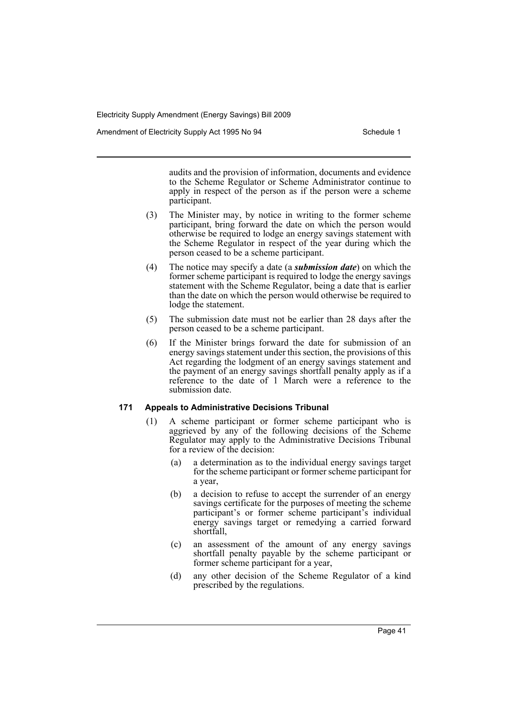Amendment of Electricity Supply Act 1995 No 94 Schedule 1

audits and the provision of information, documents and evidence to the Scheme Regulator or Scheme Administrator continue to apply in respect of the person as if the person were a scheme participant.

- (3) The Minister may, by notice in writing to the former scheme participant, bring forward the date on which the person would otherwise be required to lodge an energy savings statement with the Scheme Regulator in respect of the year during which the person ceased to be a scheme participant.
- (4) The notice may specify a date (a *submission date*) on which the former scheme participant is required to lodge the energy savings statement with the Scheme Regulator, being a date that is earlier than the date on which the person would otherwise be required to lodge the statement.
- (5) The submission date must not be earlier than 28 days after the person ceased to be a scheme participant.
- (6) If the Minister brings forward the date for submission of an energy savings statement under this section, the provisions of this Act regarding the lodgment of an energy savings statement and the payment of an energy savings shortfall penalty apply as if a reference to the date of 1 March were a reference to the submission date.

### **171 Appeals to Administrative Decisions Tribunal**

- (1) A scheme participant or former scheme participant who is aggrieved by any of the following decisions of the Scheme Regulator may apply to the Administrative Decisions Tribunal for a review of the decision:
	- (a) a determination as to the individual energy savings target for the scheme participant or former scheme participant for a year,
	- (b) a decision to refuse to accept the surrender of an energy savings certificate for the purposes of meeting the scheme participant's or former scheme participant's individual energy savings target or remedying a carried forward shortfall,
	- (c) an assessment of the amount of any energy savings shortfall penalty payable by the scheme participant or former scheme participant for a year,
	- (d) any other decision of the Scheme Regulator of a kind prescribed by the regulations.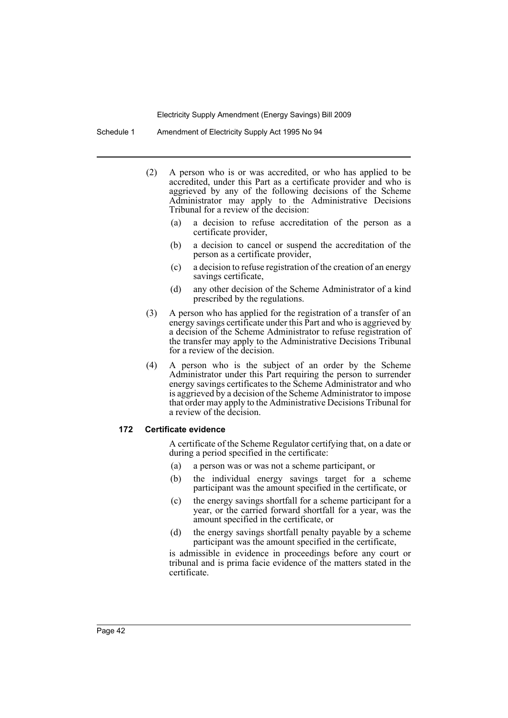Schedule 1 Amendment of Electricity Supply Act 1995 No 94

- (2) A person who is or was accredited, or who has applied to be accredited, under this Part as a certificate provider and who is aggrieved by any of the following decisions of the Scheme Administrator may apply to the Administrative Decisions Tribunal for a review of the decision:
	- (a) a decision to refuse accreditation of the person as a certificate provider,
	- (b) a decision to cancel or suspend the accreditation of the person as a certificate provider,
	- (c) a decision to refuse registration of the creation of an energy savings certificate,
	- (d) any other decision of the Scheme Administrator of a kind prescribed by the regulations.
- (3) A person who has applied for the registration of a transfer of an energy savings certificate under this Part and who is aggrieved by a decision of the Scheme Administrator to refuse registration of the transfer may apply to the Administrative Decisions Tribunal for a review of the decision.
- (4) A person who is the subject of an order by the Scheme Administrator under this Part requiring the person to surrender energy savings certificates to the Scheme Administrator and who is aggrieved by a decision of the Scheme Administrator to impose that order may apply to the Administrative Decisions Tribunal for a review of the decision.

### **172 Certificate evidence**

A certificate of the Scheme Regulator certifying that, on a date or during a period specified in the certificate:

- (a) a person was or was not a scheme participant, or
- (b) the individual energy savings target for a scheme participant was the amount specified in the certificate, or
- (c) the energy savings shortfall for a scheme participant for a year, or the carried forward shortfall for a year, was the amount specified in the certificate, or
- (d) the energy savings shortfall penalty payable by a scheme participant was the amount specified in the certificate,

is admissible in evidence in proceedings before any court or tribunal and is prima facie evidence of the matters stated in the certificate.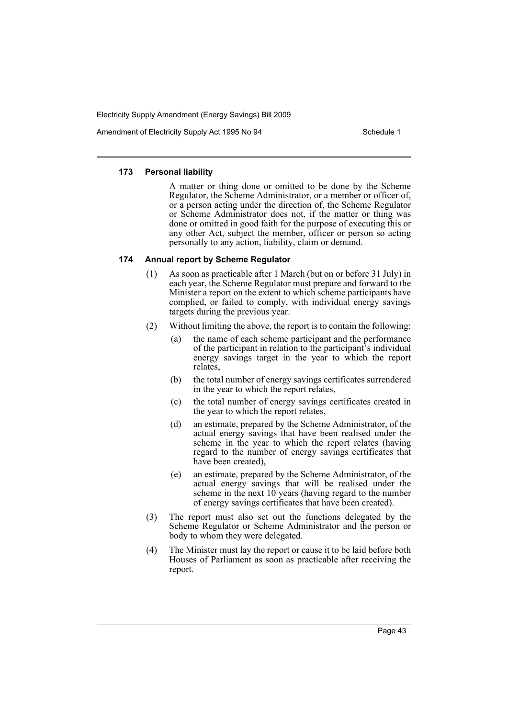Amendment of Electricity Supply Act 1995 No 94 Schedule 1

### **173 Personal liability**

A matter or thing done or omitted to be done by the Scheme Regulator, the Scheme Administrator, or a member or officer of, or a person acting under the direction of, the Scheme Regulator or Scheme Administrator does not, if the matter or thing was done or omitted in good faith for the purpose of executing this or any other Act, subject the member, officer or person so acting personally to any action, liability, claim or demand.

### **174 Annual report by Scheme Regulator**

- (1) As soon as practicable after 1 March (but on or before 31 July) in each year, the Scheme Regulator must prepare and forward to the Minister a report on the extent to which scheme participants have complied, or failed to comply, with individual energy savings targets during the previous year.
- (2) Without limiting the above, the report is to contain the following:
	- (a) the name of each scheme participant and the performance of the participant in relation to the participant's individual energy savings target in the year to which the report relates,
	- (b) the total number of energy savings certificates surrendered in the year to which the report relates,
	- (c) the total number of energy savings certificates created in the year to which the report relates,
	- (d) an estimate, prepared by the Scheme Administrator, of the actual energy savings that have been realised under the scheme in the year to which the report relates (having regard to the number of energy savings certificates that have been created),
	- (e) an estimate, prepared by the Scheme Administrator, of the actual energy savings that will be realised under the scheme in the next  $10$  years (having regard to the number of energy savings certificates that have been created).
- (3) The report must also set out the functions delegated by the Scheme Regulator or Scheme Administrator and the person or body to whom they were delegated.
- (4) The Minister must lay the report or cause it to be laid before both Houses of Parliament as soon as practicable after receiving the report.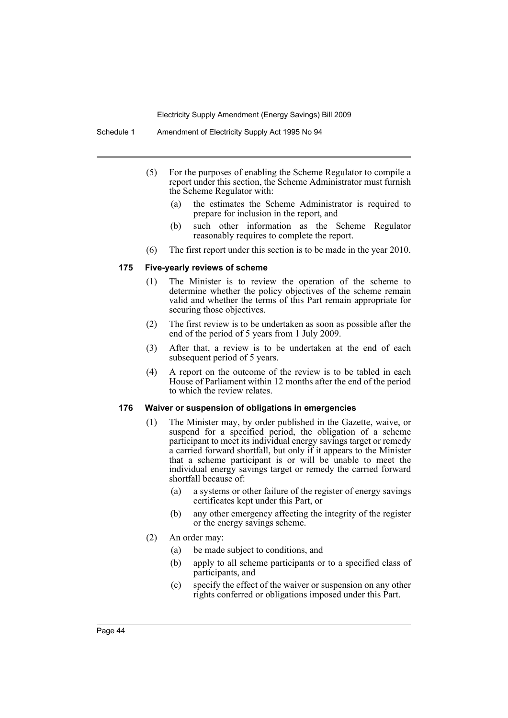Schedule 1 Amendment of Electricity Supply Act 1995 No 94

- (5) For the purposes of enabling the Scheme Regulator to compile a report under this section, the Scheme Administrator must furnish the Scheme Regulator with:
	- (a) the estimates the Scheme Administrator is required to prepare for inclusion in the report, and
	- (b) such other information as the Scheme Regulator reasonably requires to complete the report.
- (6) The first report under this section is to be made in the year 2010.

# **175 Five-yearly reviews of scheme**

- (1) The Minister is to review the operation of the scheme to determine whether the policy objectives of the scheme remain valid and whether the terms of this Part remain appropriate for securing those objectives.
- (2) The first review is to be undertaken as soon as possible after the end of the period of 5 years from 1 July 2009.
- (3) After that, a review is to be undertaken at the end of each subsequent period of 5 years.
- (4) A report on the outcome of the review is to be tabled in each House of Parliament within 12 months after the end of the period to which the review relates.

# **176 Waiver or suspension of obligations in emergencies**

- (1) The Minister may, by order published in the Gazette, waive, or suspend for a specified period, the obligation of a scheme participant to meet its individual energy savings target or remedy a carried forward shortfall, but only if it appears to the Minister that a scheme participant is or will be unable to meet the individual energy savings target or remedy the carried forward shortfall because of:
	- (a) a systems or other failure of the register of energy savings certificates kept under this Part, or
	- (b) any other emergency affecting the integrity of the register or the energy savings scheme.
- (2) An order may:
	- (a) be made subject to conditions, and
	- (b) apply to all scheme participants or to a specified class of participants, and
	- (c) specify the effect of the waiver or suspension on any other rights conferred or obligations imposed under this Part.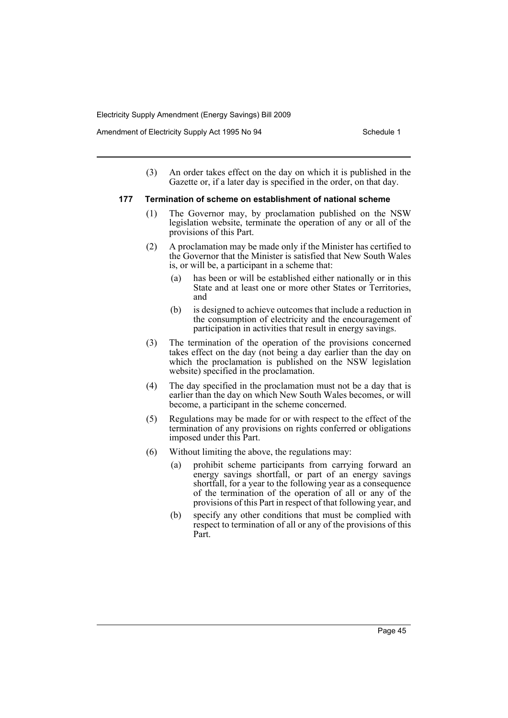Amendment of Electricity Supply Act 1995 No 94 Schedule 1

(3) An order takes effect on the day on which it is published in the Gazette or, if a later day is specified in the order, on that day.

### **177 Termination of scheme on establishment of national scheme**

- (1) The Governor may, by proclamation published on the NSW legislation website, terminate the operation of any or all of the provisions of this Part.
- (2) A proclamation may be made only if the Minister has certified to the Governor that the Minister is satisfied that New South Wales is, or will be, a participant in a scheme that:
	- (a) has been or will be established either nationally or in this State and at least one or more other States or Territories, and
	- (b) is designed to achieve outcomes that include a reduction in the consumption of electricity and the encouragement of participation in activities that result in energy savings.
- (3) The termination of the operation of the provisions concerned takes effect on the day (not being a day earlier than the day on which the proclamation is published on the NSW legislation website) specified in the proclamation.
- (4) The day specified in the proclamation must not be a day that is earlier than the day on which New South Wales becomes, or will become, a participant in the scheme concerned.
- (5) Regulations may be made for or with respect to the effect of the termination of any provisions on rights conferred or obligations imposed under this Part.
- (6) Without limiting the above, the regulations may:
	- (a) prohibit scheme participants from carrying forward an energy savings shortfall, or part of an energy savings shortfall, for a year to the following year as a consequence of the termination of the operation of all or any of the provisions of this Part in respect of that following year, and
	- (b) specify any other conditions that must be complied with respect to termination of all or any of the provisions of this Part.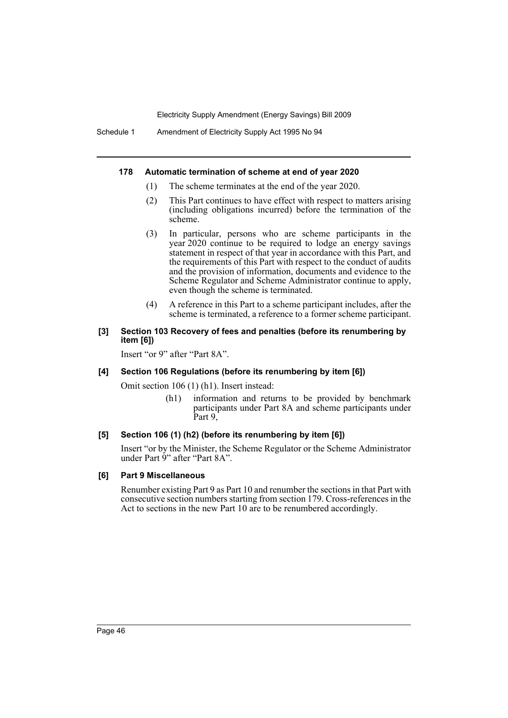Schedule 1 Amendment of Electricity Supply Act 1995 No 94

### **178 Automatic termination of scheme at end of year 2020**

- (1) The scheme terminates at the end of the year 2020.
- (2) This Part continues to have effect with respect to matters arising (including obligations incurred) before the termination of the scheme.
- (3) In particular, persons who are scheme participants in the year 2020 continue to be required to lodge an energy savings statement in respect of that year in accordance with this Part, and the requirements of this Part with respect to the conduct of audits and the provision of information, documents and evidence to the Scheme Regulator and Scheme Administrator continue to apply, even though the scheme is terminated.
- (4) A reference in this Part to a scheme participant includes, after the scheme is terminated, a reference to a former scheme participant.

# **[3] Section 103 Recovery of fees and penalties (before its renumbering by item [6])**

Insert "or 9" after "Part 8A".

# **[4] Section 106 Regulations (before its renumbering by item [6])**

Omit section 106 (1) (h1). Insert instead:

(h1) information and returns to be provided by benchmark participants under Part 8A and scheme participants under Part 9,

# **[5] Section 106 (1) (h2) (before its renumbering by item [6])**

Insert "or by the Minister, the Scheme Regulator or the Scheme Administrator under Part 9" after "Part 8A".

### **[6] Part 9 Miscellaneous**

Renumber existing Part 9 as Part 10 and renumber the sections in that Part with consecutive section numbers starting from section 179. Cross-references in the Act to sections in the new Part 10 are to be renumbered accordingly.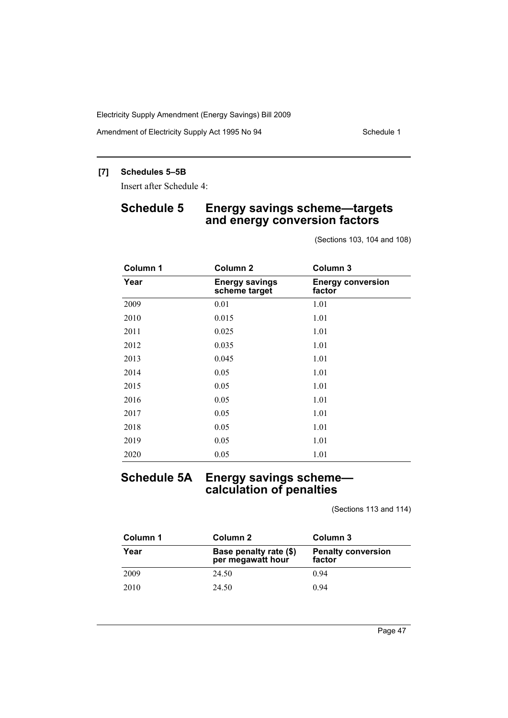Amendment of Electricity Supply Act 1995 No 94 Schedule 1

# **[7] Schedules 5–5B**

Insert after Schedule 4:

# **Schedule 5 Energy savings scheme—targets and energy conversion factors**

(Sections 103, 104 and 108)

| Column 1 | Column <sub>2</sub>                    | Column 3                           |
|----------|----------------------------------------|------------------------------------|
| Year     | <b>Energy savings</b><br>scheme target | <b>Energy conversion</b><br>factor |
| 2009     | 0.01                                   | 1.01                               |
| 2010     | 0.015                                  | 1.01                               |
| 2011     | 0.025                                  | 1.01                               |
| 2012     | 0.035                                  | 1.01                               |
| 2013     | 0.045                                  | 1.01                               |
| 2014     | 0.05                                   | 1.01                               |
| 2015     | 0.05                                   | 1.01                               |
| 2016     | 0.05                                   | 1.01                               |
| 2017     | 0.05                                   | 1.01                               |
| 2018     | 0.05                                   | 1.01                               |
| 2019     | 0.05                                   | 1.01                               |
| 2020     | 0.05                                   | 1.01                               |

# **Schedule 5A Energy savings scheme calculation of penalties**

(Sections 113 and 114)

| Column 1 | Column 2                                    | Column 3                            |
|----------|---------------------------------------------|-------------------------------------|
| Year     | Base penalty rate (\$)<br>per megawatt hour | <b>Penalty conversion</b><br>factor |
| 2009     | 24.50                                       | 0.94                                |
| 2010     | 24.50                                       | 0.94                                |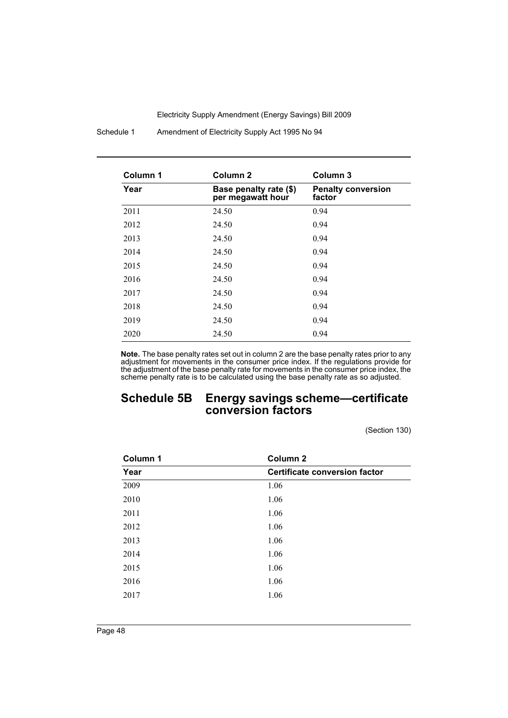Schedule 1 Amendment of Electricity Supply Act 1995 No 94

| Column 1 | Column <sub>2</sub>                         | Column <sub>3</sub>                 |
|----------|---------------------------------------------|-------------------------------------|
| Year     | Base penalty rate (\$)<br>per megawatt hour | <b>Penalty conversion</b><br>factor |
| 2011     | 24.50                                       | 0.94                                |
| 2012     | 24.50                                       | 0.94                                |
| 2013     | 24.50                                       | 0.94                                |
| 2014     | 24.50                                       | 0.94                                |
| 2015     | 24.50                                       | 0.94                                |
| 2016     | 24.50                                       | 0.94                                |
| 2017     | 24.50                                       | 0.94                                |
| 2018     | 24.50                                       | 0.94                                |
| 2019     | 24.50                                       | 0.94                                |
| 2020     | 24.50                                       | 0.94                                |

**Note.** The base penalty rates set out in column 2 are the base penalty rates prior to any adjustment for movements in the consumer price index. If the regulations provide for the adjustment of the base penalty rate for movements in the consumer price index, the scheme penalty rate is to be calculated using the base penalty rate as so adjusted.

# **Schedule 5B Energy savings scheme—certificate conversion factors**

(Section 130)

| Column 1 | Column <sub>2</sub>                  |
|----------|--------------------------------------|
| Year     | <b>Certificate conversion factor</b> |
| 2009     | 1.06                                 |
| 2010     | 1.06                                 |
| 2011     | 1.06                                 |
| 2012     | 1.06                                 |
| 2013     | 1.06                                 |
| 2014     | 1.06                                 |
| 2015     | 1.06                                 |
| 2016     | 1.06                                 |
| 2017     | 1.06                                 |
|          |                                      |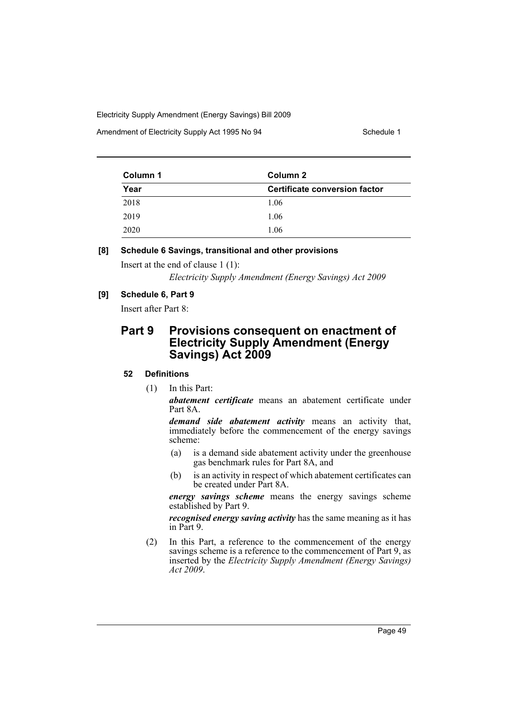Amendment of Electricity Supply Act 1995 No 94 Schedule 1

| Column 1 | Column 2                      |  |
|----------|-------------------------------|--|
| Year     | Certificate conversion factor |  |
| 2018     | 1.06                          |  |
| 2019     | 1.06                          |  |
| 2020     | 1.06                          |  |

# **[8] Schedule 6 Savings, transitional and other provisions**

Insert at the end of clause 1 (1):

*Electricity Supply Amendment (Energy Savings) Act 2009*

# **[9] Schedule 6, Part 9**

Insert after Part 8:

# **Part 9 Provisions consequent on enactment of Electricity Supply Amendment (Energy Savings) Act 2009**

# **52 Definitions**

(1) In this Part:

*abatement certificate* means an abatement certificate under Part 8A.

*demand side abatement activity* means an activity that, immediately before the commencement of the energy savings scheme:

- (a) is a demand side abatement activity under the greenhouse gas benchmark rules for Part 8A, and
- (b) is an activity in respect of which abatement certificates can be created under Part 8A.

*energy savings scheme* means the energy savings scheme established by Part 9.

*recognised energy saving activity* has the same meaning as it has in Part 9.

(2) In this Part, a reference to the commencement of the energy savings scheme is a reference to the commencement of Part 9, as inserted by the *Electricity Supply Amendment (Energy Savings) Act 2009*.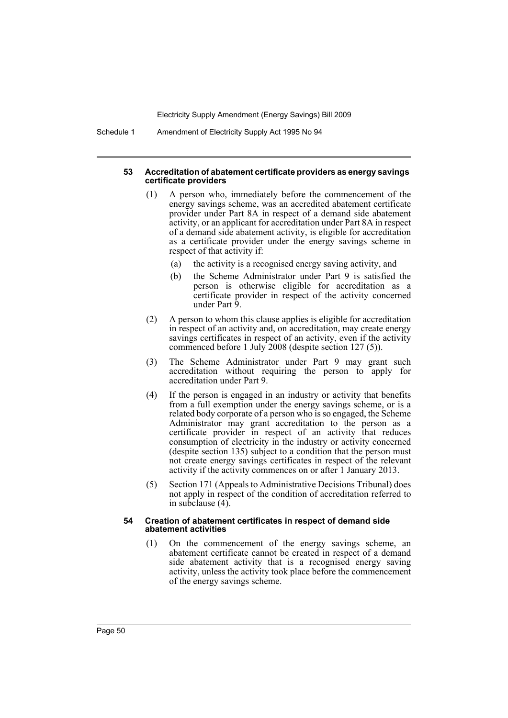Schedule 1 Amendment of Electricity Supply Act 1995 No 94

### **53 Accreditation of abatement certificate providers as energy savings certificate providers**

- (1) A person who, immediately before the commencement of the energy savings scheme, was an accredited abatement certificate provider under Part 8A in respect of a demand side abatement activity, or an applicant for accreditation under Part 8A in respect of a demand side abatement activity, is eligible for accreditation as a certificate provider under the energy savings scheme in respect of that activity if:
	- (a) the activity is a recognised energy saving activity, and
	- (b) the Scheme Administrator under Part 9 is satisfied the person is otherwise eligible for accreditation as a certificate provider in respect of the activity concerned under Part 9.
- (2) A person to whom this clause applies is eligible for accreditation in respect of an activity and, on accreditation, may create energy savings certificates in respect of an activity, even if the activity commenced before 1 July 2008 (despite section 127 (5)).
- (3) The Scheme Administrator under Part 9 may grant such accreditation without requiring the person to apply for accreditation under Part 9.
- (4) If the person is engaged in an industry or activity that benefits from a full exemption under the energy savings scheme, or is a related body corporate of a person who is so engaged, the Scheme Administrator may grant accreditation to the person as a certificate provider in respect of an activity that reduces consumption of electricity in the industry or activity concerned (despite section 135) subject to a condition that the person must not create energy savings certificates in respect of the relevant activity if the activity commences on or after 1 January 2013.
- (5) Section 171 (Appeals to Administrative Decisions Tribunal) does not apply in respect of the condition of accreditation referred to in subclause (4).

### **54 Creation of abatement certificates in respect of demand side abatement activities**

(1) On the commencement of the energy savings scheme, an abatement certificate cannot be created in respect of a demand side abatement activity that is a recognised energy saving activity, unless the activity took place before the commencement of the energy savings scheme.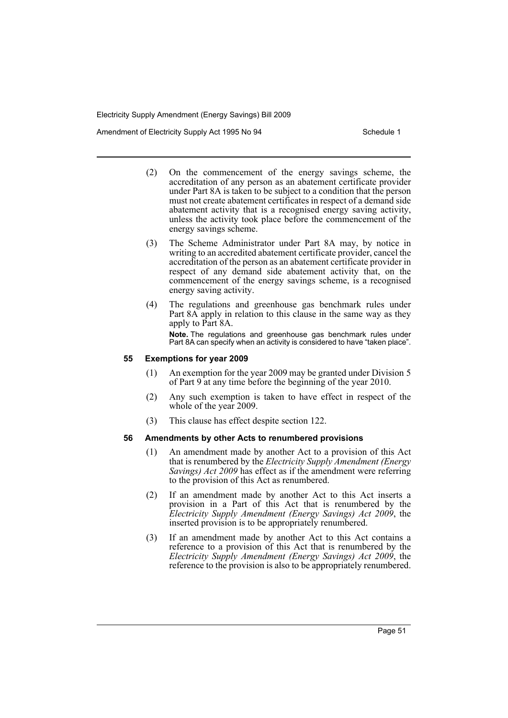Amendment of Electricity Supply Act 1995 No 94 Schedule 1

- (2) On the commencement of the energy savings scheme, the accreditation of any person as an abatement certificate provider under Part 8A is taken to be subject to a condition that the person must not create abatement certificates in respect of a demand side abatement activity that is a recognised energy saving activity, unless the activity took place before the commencement of the energy savings scheme.
- (3) The Scheme Administrator under Part 8A may, by notice in writing to an accredited abatement certificate provider, cancel the accreditation of the person as an abatement certificate provider in respect of any demand side abatement activity that, on the commencement of the energy savings scheme, is a recognised energy saving activity.
- (4) The regulations and greenhouse gas benchmark rules under Part 8A apply in relation to this clause in the same way as they apply to Part 8A. **Note.** The regulations and greenhouse gas benchmark rules under Part 8A can specify when an activity is considered to have "taken place".

### **55 Exemptions for year 2009**

- (1) An exemption for the year 2009 may be granted under Division 5 of Part 9 at any time before the beginning of the year 2010.
- (2) Any such exemption is taken to have effect in respect of the whole of the year 2009.
- (3) This clause has effect despite section 122.

#### **56 Amendments by other Acts to renumbered provisions**

- (1) An amendment made by another Act to a provision of this Act that is renumbered by the *Electricity Supply Amendment (Energy Savings) Act 2009* has effect as if the amendment were referring to the provision of this Act as renumbered.
- (2) If an amendment made by another Act to this Act inserts a provision in a Part of this Act that is renumbered by the *Electricity Supply Amendment (Energy Savings) Act 2009*, the inserted provision is to be appropriately renumbered.
- (3) If an amendment made by another Act to this Act contains a reference to a provision of this Act that is renumbered by the *Electricity Supply Amendment (Energy Savings) Act 2009*, the reference to the provision is also to be appropriately renumbered.